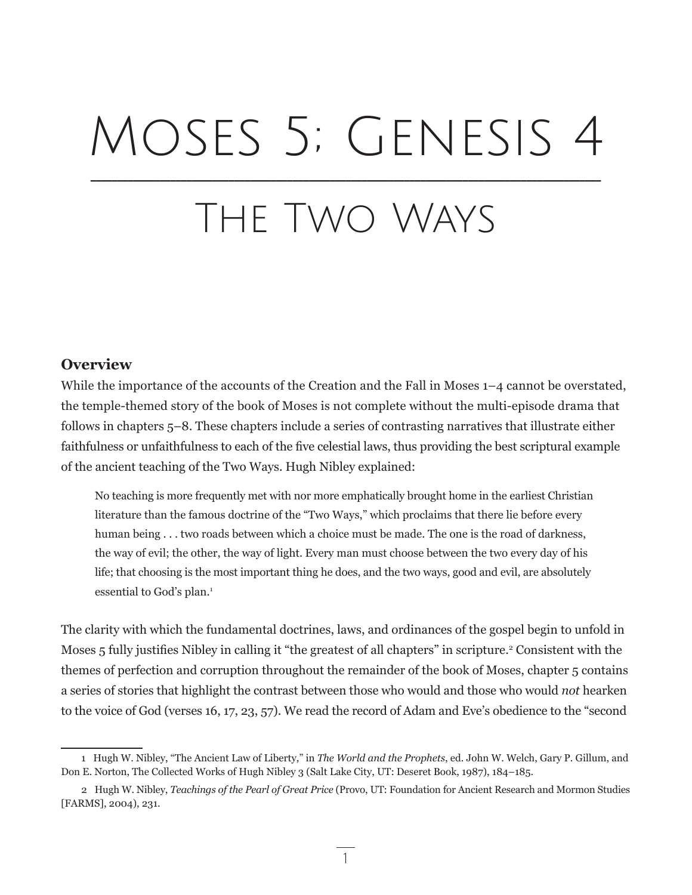# Moses 5; Genesis 4 \_\_\_\_\_\_\_\_\_\_\_\_\_\_\_\_\_\_\_\_\_\_\_\_\_\_\_\_\_\_\_\_\_\_\_\_\_\_\_\_\_\_\_\_\_\_\_\_\_\_\_\_\_\_\_\_\_\_\_\_\_\_\_\_\_\_\_\_\_\_\_\_\_\_\_\_\_\_\_\_\_\_\_\_\_\_\_\_\_\_\_\_\_\_\_\_

# The Two Ways

# **Overview**

While the importance of the accounts of the Creation and the Fall in Moses 1–4 cannot be overstated, the temple-themed story of the book of Moses is not complete without the multi-episode drama that follows in chapters 5–8. These chapters include a series of contrasting narratives that illustrate either faithfulness or unfaithfulness to each of the five celestial laws, thus providing the best scriptural example of the ancient teaching of the Two Ways. Hugh Nibley explained:

No teaching is more frequently met with nor more emphatically brought home in the earliest Christian literature than the famous doctrine of the "Two Ways," which proclaims that there lie before every human being . . . two roads between which a choice must be made. The one is the road of darkness, the way of evil; the other, the way of light. Every man must choose between the two every day of his life; that choosing is the most important thing he does, and the two ways, good and evil, are absolutely essential to God's plan.<sup>1</sup>

The clarity with which the fundamental doctrines, laws, and ordinances of the gospel begin to unfold in Moses 5 fully justifies Nibley in calling it "the greatest of all chapters" in scripture.<sup>2</sup> Consistent with the themes of perfection and corruption throughout the remainder of the book of Moses, chapter 5 contains a series of stories that highlight the contrast between those who would and those who would *not* hearken to the voice of God (verses 16, 17, 23, 57). We read the record of Adam and Eve's obedience to the "second

1

<sup>1</sup> Hugh W. Nibley, "The Ancient Law of Liberty," in *The World and the Prophets*, ed. John W. Welch, Gary P. Gillum, and Don E. Norton, The Collected Works of Hugh Nibley 3 (Salt Lake City, UT: Deseret Book, 1987), 184–185.

<sup>2</sup> Hugh W. Nibley, *Teachings of the Pearl of Great Price* (Provo, UT: Foundation for Ancient Research and Mormon Studies [FARMS], 2004), 231.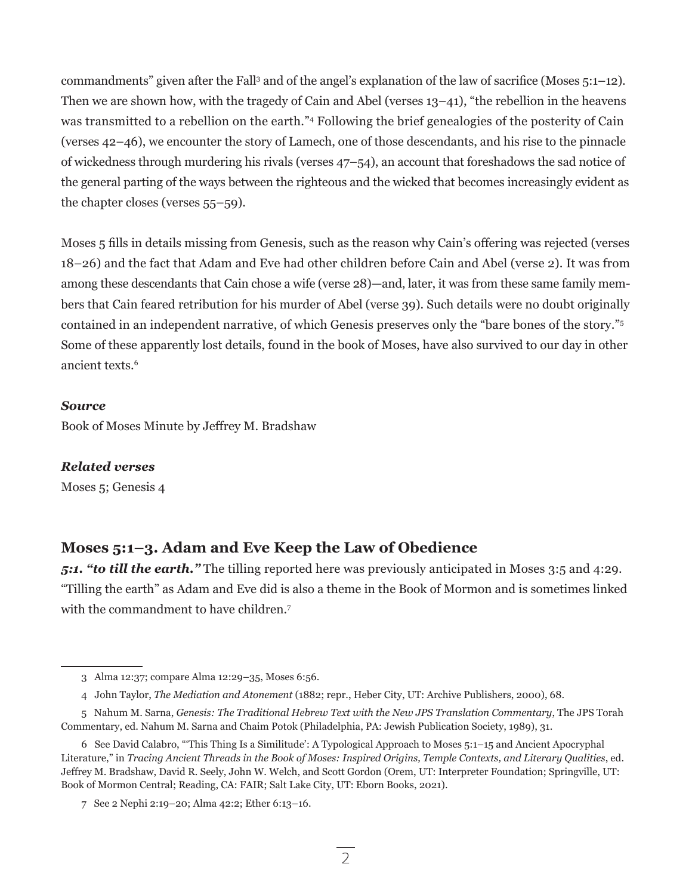commandments" given after the Fall<sup>3</sup> and of the angel's explanation of the law of sacrifice (Moses 5:1–12). Then we are shown how, with the tragedy of Cain and Abel (verses 13–41), "the rebellion in the heavens was transmitted to a rebellion on the earth."4 Following the brief genealogies of the posterity of Cain (verses 42–46), we encounter the story of Lamech, one of those descendants, and his rise to the pinnacle of wickedness through murdering his rivals (verses 47–54), an account that foreshadows the sad notice of the general parting of the ways between the righteous and the wicked that becomes increasingly evident as the chapter closes (verses 55–59).

Moses 5 fills in details missing from Genesis, such as the reason why Cain's offering was rejected (verses 18–26) and the fact that Adam and Eve had other children before Cain and Abel (verse 2). It was from among these descendants that Cain chose a wife (verse 28)—and, later, it was from these same family members that Cain feared retribution for his murder of Abel (verse 39). Such details were no doubt originally contained in an independent narrative, of which Genesis preserves only the "bare bones of the story."5 Some of these apparently lost details, found in the book of Moses, have also survived to our day in other ancient texts.<sup>6</sup>

#### *Source*

Book of Moses Minute by Jeffrey M. Bradshaw

## *Related verses*

Moses 5; Genesis 4

# **Moses 5:1–3. Adam and Eve Keep the Law of Obedience**

*5:1. "to till the earth."* The tilling reported here was previously anticipated in Moses 3:5 and 4:29. "Tilling the earth" as Adam and Eve did is also a theme in the Book of Mormon and is sometimes linked with the commandment to have children.<sup>7</sup>

<sup>3</sup> Alma 12:37; compare Alma 12:29–35, Moses 6:56.

<sup>4</sup> John Taylor, *The Mediation and Atonement* (1882; repr., Heber City, UT: Archive Publishers, 2000), 68.

<sup>5</sup> Nahum M. Sarna, *Genesis: The Traditional Hebrew Text with the New JPS Translation Commentary*, The JPS Torah Commentary, ed. Nahum M. Sarna and Chaim Potok (Philadelphia, PA: Jewish Publication Society, 1989), 31.

<sup>6</sup> See David Calabro, "'This Thing Is a Similitude': A Typological Approach to Moses 5:1–15 and Ancient Apocryphal Literature," in *Tracing Ancient Threads in the Book of Moses: Inspired Origins, Temple Contexts, and Literary Qualities*, ed. Jeffrey M. Bradshaw, David R. Seely, John W. Welch, and Scott Gordon (Orem, UT: Interpreter Foundation; Springville, UT: Book of Mormon Central; Reading, CA: FAIR; Salt Lake City, UT: Eborn Books, 2021).

<sup>7</sup> See 2 Nephi 2:19–20; Alma 42:2; Ether 6:13–16.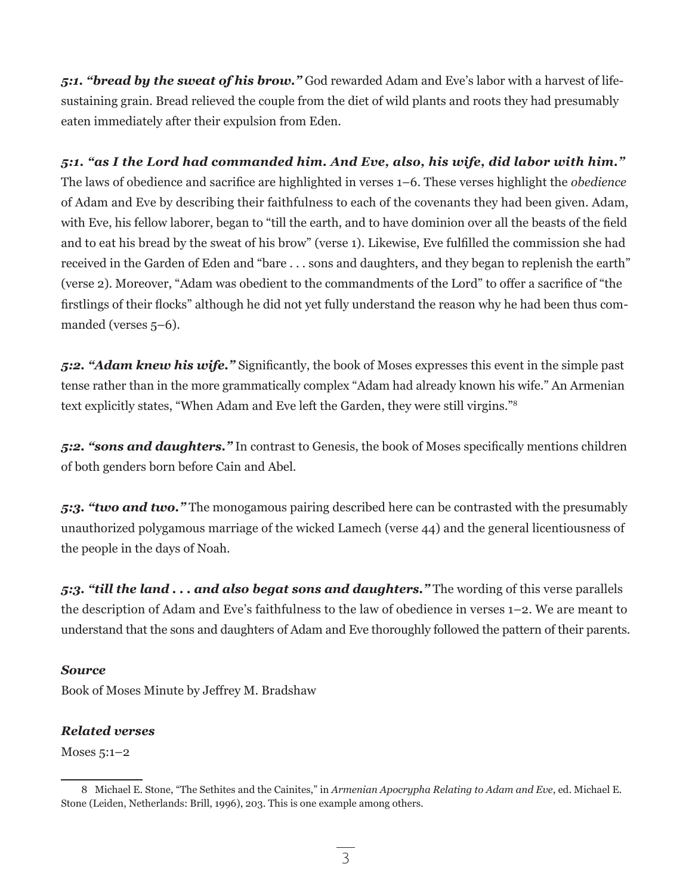*5:1. "bread by the sweat of his brow."* God rewarded Adam and Eve's labor with a harvest of lifesustaining grain. Bread relieved the couple from the diet of wild plants and roots they had presumably eaten immediately after their expulsion from Eden.

*5:1. "as I the Lord had commanded him. And Eve, also, his wife, did labor with him."*  The laws of obedience and sacrifice are highlighted in verses 1–6. These verses highlight the *obedience* of Adam and Eve by describing their faithfulness to each of the covenants they had been given. Adam, with Eve, his fellow laborer, began to "till the earth, and to have dominion over all the beasts of the field and to eat his bread by the sweat of his brow" (verse 1). Likewise, Eve fulfilled the commission she had received in the Garden of Eden and "bare . . . sons and daughters, and they began to replenish the earth" (verse 2). Moreover, "Adam was obedient to the commandments of the Lord" to offer a sacrifice of "the firstlings of their flocks" although he did not yet fully understand the reason why he had been thus commanded (verses 5–6).

*5:2. "Adam knew his wife."* Significantly, the book of Moses expresses this event in the simple past tense rather than in the more grammatically complex "Adam had already known his wife." An Armenian text explicitly states, "When Adam and Eve left the Garden, they were still virgins."<sup>8</sup>

*5:2. "sons and daughters."* In contrast to Genesis, the book of Moses specifically mentions children of both genders born before Cain and Abel.

*5:3. "two and two."* The monogamous pairing described here can be contrasted with the presumably unauthorized polygamous marriage of the wicked Lamech (verse 44) and the general licentiousness of the people in the days of Noah.

*5:3. "till the land . . . and also begat sons and daughters."* The wording of this verse parallels the description of Adam and Eve's faithfulness to the law of obedience in verses 1–2. We are meant to understand that the sons and daughters of Adam and Eve thoroughly followed the pattern of their parents.

## *Source*

Book of Moses Minute by Jeffrey M. Bradshaw

## *Related verses*

Moses 5:1–2

<sup>8</sup> Michael E. Stone, "The Sethites and the Cainites," in *Armenian Apocrypha Relating to Adam and Eve*, ed. Michael E. Stone (Leiden, Netherlands: Brill, 1996), 203. This is one example among others.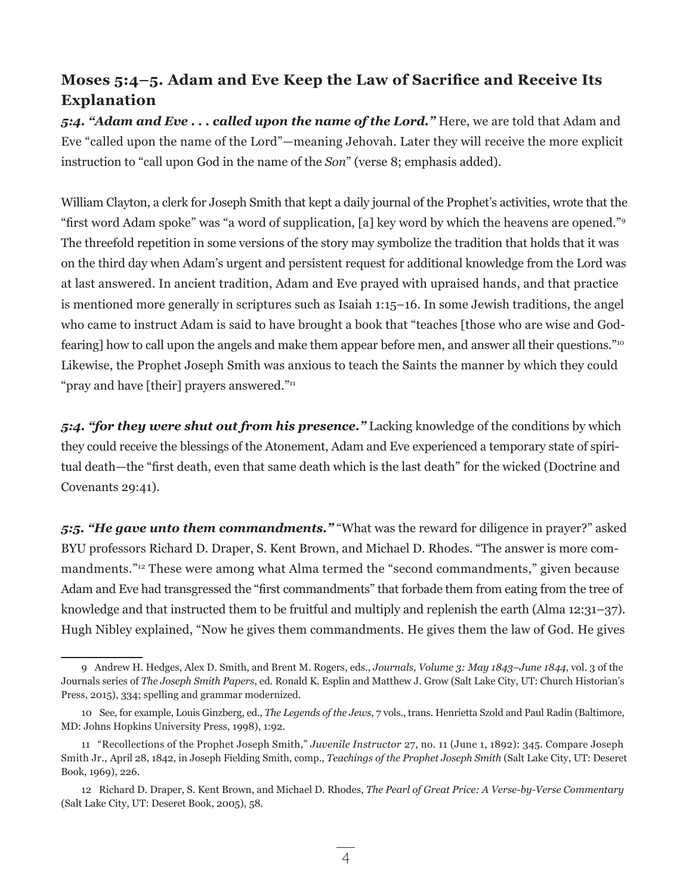# **Moses 5:4–5. Adam and Eve Keep the Law of Sacrifice and Receive Its Explanation**

*5:4. "Adam and Eve . . . called upon the name of the Lord."* Here, we are told that Adam and Eve "called upon the name of the Lord"—meaning Jehovah. Later they will receive the more explicit instruction to "call upon God in the name of the *Son*" (verse 8; emphasis added).

William Clayton, a clerk for Joseph Smith that kept a daily journal of the Prophet's activities, wrote that the "first word Adam spoke" was "a word of supplication, [a] key word by which the heavens are opened."9 The threefold repetition in some versions of the story may symbolize the tradition that holds that it was on the third day when Adam's urgent and persistent request for additional knowledge from the Lord was at last answered. In ancient tradition, Adam and Eve prayed with upraised hands, and that practice is mentioned more generally in scriptures such as Isaiah 1:15–16. In some Jewish traditions, the angel who came to instruct Adam is said to have brought a book that "teaches [those who are wise and Godfearing] how to call upon the angels and make them appear before men, and answer all their questions."10 Likewise, the Prophet Joseph Smith was anxious to teach the Saints the manner by which they could "pray and have [their] prayers answered."<sup>11</sup>

*5:4. "for they were shut out from his presence."* Lacking knowledge of the conditions by which they could receive the blessings of the Atonement, Adam and Eve experienced a temporary state of spiritual death—the "first death, even that same death which is the last death" for the wicked (Doctrine and Covenants 29:41).

*5:5. "He gave unto them commandments."* "What was the reward for diligence in prayer?" asked BYU professors Richard D. Draper, S. Kent Brown, and Michael D. Rhodes. "The answer is more commandments."12 These were among what Alma termed the "second commandments," given because Adam and Eve had transgressed the "first commandments" that forbade them from eating from the tree of knowledge and that instructed them to be fruitful and multiply and replenish the earth (Alma 12:31–37). Hugh Nibley explained, "Now he gives them commandments. He gives them the law of God. He gives

<sup>9</sup> Andrew H. Hedges, Alex D. Smith, and Brent M. Rogers, eds., *Journals, Volume 3: May 1843–June 1844*, vol. 3 of the Journals series of *The Joseph Smith Papers*, ed. Ronald K. Esplin and Matthew J. Grow (Salt Lake City, UT: Church Historian's Press, 2015), 334; spelling and grammar modernized.

<sup>10</sup> See, for example, Louis Ginzberg, ed., *The Legends of the Jews*, 7 vols., trans. Henrietta Szold and Paul Radin (Baltimore, MD: Johns Hopkins University Press, 1998), 1:92.

<sup>11 &</sup>quot;Recollections of the Prophet Joseph Smith," *Juvenile Instructor* 27, no. 11 (June 1, 1892): 345. Compare Joseph Smith Jr., April 28, 1842, in Joseph Fielding Smith, comp., *Teachings of the Prophet Joseph Smith* (Salt Lake City, UT: Deseret Book, 1969), 226.

<sup>12</sup> Richard D. Draper, S. Kent Brown, and Michael D. Rhodes, *The Pearl of Great Price: A Verse-by-Verse Commentary* (Salt Lake City, UT: Deseret Book, 2005), 58.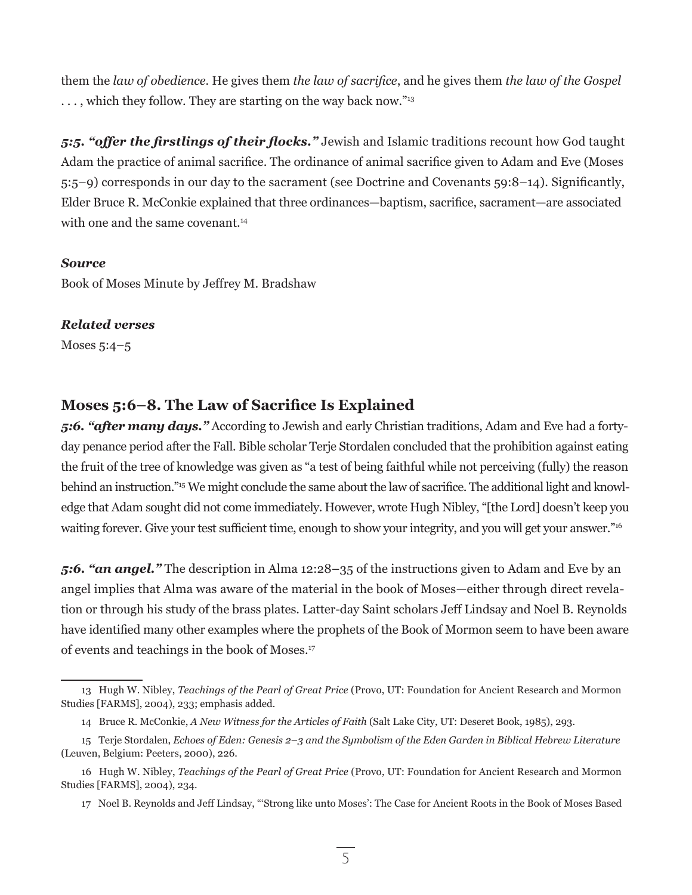them the *law of obedience*. He gives them *the law of sacrifice*, and he gives them *the law of the Gospel* ..., which they follow. They are starting on the way back now."<sup>13</sup>

*5:5. "offer the firstlings of their flocks."* Jewish and Islamic traditions recount how God taught Adam the practice of animal sacrifice. The ordinance of animal sacrifice given to Adam and Eve (Moses 5:5–9) corresponds in our day to the sacrament (see Doctrine and Covenants 59:8–14). Significantly, Elder Bruce R. McConkie explained that three ordinances—baptism, sacrifice, sacrament—are associated with one and the same covenant.<sup>14</sup>

#### *Source*

Book of Moses Minute by Jeffrey M. Bradshaw

#### *Related verses*

Moses 5:4–5

# **Moses 5:6–8. The Law of Sacrifice Is Explained**

*5:6. "after many days."* According to Jewish and early Christian traditions, Adam and Eve had a fortyday penance period after the Fall. Bible scholar Terje Stordalen concluded that the prohibition against eating the fruit of the tree of knowledge was given as "a test of being faithful while not perceiving (fully) the reason behind an instruction."15 We might conclude the same about the law of sacrifice. The additional light and knowledge that Adam sought did not come immediately. However, wrote Hugh Nibley, "[the Lord] doesn't keep you waiting forever. Give your test sufficient time, enough to show your integrity, and you will get your answer."<sup>16</sup>

*5:6. "an angel."* The description in Alma 12:28–35 of the instructions given to Adam and Eve by an angel implies that Alma was aware of the material in the book of Moses—either through direct revelation or through his study of the brass plates. Latter-day Saint scholars Jeff Lindsay and Noel B. Reynolds have identified many other examples where the prophets of the Book of Mormon seem to have been aware of events and teachings in the book of Moses.17

<sup>13</sup> Hugh W. Nibley, *Teachings of the Pearl of Great Price* (Provo, UT: Foundation for Ancient Research and Mormon Studies [FARMS], 2004), 233; emphasis added.

<sup>14</sup> Bruce R. McConkie, *A New Witness for the Articles of Faith* (Salt Lake City, UT: Deseret Book, 1985), 293.

<sup>15</sup> Terje Stordalen, *Echoes of Eden: Genesis 2–3 and the Symbolism of the Eden Garden in Biblical Hebrew Literature* (Leuven, Belgium: Peeters, 2000), 226.

<sup>16</sup> Hugh W. Nibley, *Teachings of the Pearl of Great Price* (Provo, UT: Foundation for Ancient Research and Mormon Studies [FARMS], 2004), 234.

<sup>17</sup> Noel B. Reynolds and Jeff Lindsay, "'Strong like unto Moses': The Case for Ancient Roots in the Book of Moses Based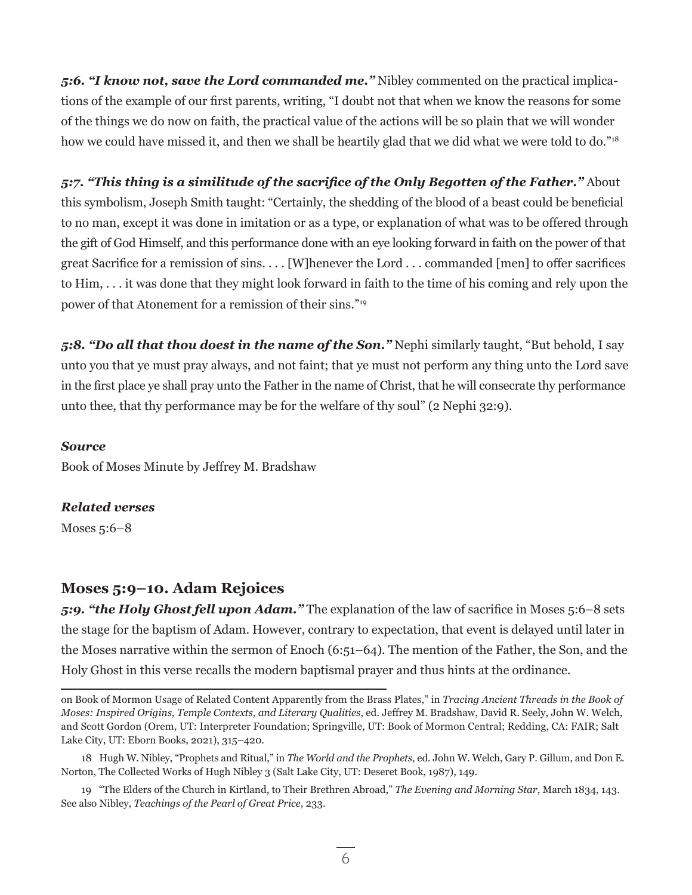*5:6. "I know not, save the Lord commanded me."* Nibley commented on the practical implications of the example of our first parents, writing, "I doubt not that when we know the reasons for some of the things we do now on faith, the practical value of the actions will be so plain that we will wonder how we could have missed it, and then we shall be heartily glad that we did what we were told to do."<sup>18</sup>

*5:7. "This thing is a similitude of the sacrifice of the Only Begotten of the Father."* About this symbolism, Joseph Smith taught: "Certainly, the shedding of the blood of a beast could be beneficial to no man, except it was done in imitation or as a type, or explanation of what was to be offered through the gift of God Himself, and this performance done with an eye looking forward in faith on the power of that great Sacrifice for a remission of sins. . . . [W]henever the Lord . . . commanded [men] to offer sacrifices to Him, . . . it was done that they might look forward in faith to the time of his coming and rely upon the power of that Atonement for a remission of their sins."<sup>19</sup>

*5:8. "Do all that thou doest in the name of the Son."* Nephi similarly taught, "But behold, I say unto you that ye must pray always, and not faint; that ye must not perform any thing unto the Lord save in the first place ye shall pray unto the Father in the name of Christ, that he will consecrate thy performance unto thee, that thy performance may be for the welfare of thy soul" (2 Nephi 32:9).

### *Source*

Book of Moses Minute by Jeffrey M. Bradshaw

## *Related verses*

Moses 5:6–8

# **Moses 5:9–10. Adam Rejoices**

*5:9. "the Holy Ghost fell upon Adam."* The explanation of the law of sacrifice in Moses 5:6–8 sets the stage for the baptism of Adam. However, contrary to expectation, that event is delayed until later in the Moses narrative within the sermon of Enoch (6:51–64). The mention of the Father, the Son, and the Holy Ghost in this verse recalls the modern baptismal prayer and thus hints at the ordinance.

on Book of Mormon Usage of Related Content Apparently from the Brass Plates," in *Tracing Ancient Threads in the Book of Moses: Inspired Origins, Temple Contexts, and Literary Qualities*, ed. Jeffrey M. Bradshaw, David R. Seely, John W. Welch, and Scott Gordon (Orem, UT: Interpreter Foundation; Springville, UT: Book of Mormon Central; Redding, CA: FAIR; Salt Lake City, UT: Eborn Books, 2021), 315–420.

<sup>18</sup> Hugh W. Nibley, "Prophets and Ritual," in *The World and the Prophets*, ed. John W. Welch, Gary P. Gillum, and Don E. Norton, The Collected Works of Hugh Nibley 3 (Salt Lake City, UT: Deseret Book, 1987), 149.

<sup>19 &</sup>quot;The Elders of the Church in Kirtland, to Their Brethren Abroad," *The Evening and Morning Star*, March 1834, 143. See also Nibley, *Teachings of the Pearl of Great Price*, 233.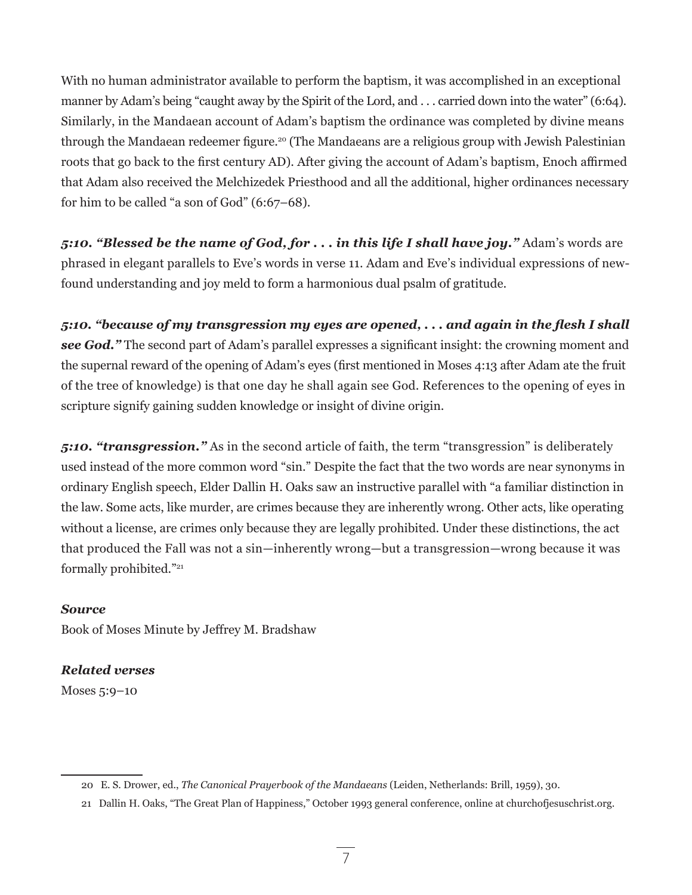With no human administrator available to perform the baptism, it was accomplished in an exceptional manner by Adam's being "caught away by the Spirit of the Lord, and . . . carried down into the water" (6:64). Similarly, in the Mandaean account of Adam's baptism the ordinance was completed by divine means through the Mandaean redeemer figure.<sup>20</sup> (The Mandaeans are a religious group with Jewish Palestinian roots that go back to the first century AD). After giving the account of Adam's baptism, Enoch affirmed that Adam also received the Melchizedek Priesthood and all the additional, higher ordinances necessary for him to be called "a son of God" (6:67–68).

*5:10. "Blessed be the name of God, for . . . in this life I shall have joy."* Adam's words are phrased in elegant parallels to Eve's words in verse 11. Adam and Eve's individual expressions of newfound understanding and joy meld to form a harmonious dual psalm of gratitude.

*5:10. "because of my transgression my eyes are opened, . . . and again in the flesh I shall see God."* The second part of Adam's parallel expresses a significant insight: the crowning moment and the supernal reward of the opening of Adam's eyes (first mentioned in Moses 4:13 after Adam ate the fruit of the tree of knowledge) is that one day he shall again see God. References to the opening of eyes in scripture signify gaining sudden knowledge or insight of divine origin.

*5:10. "transgression."* As in the second article of faith, the term "transgression" is deliberately used instead of the more common word "sin." Despite the fact that the two words are near synonyms in ordinary English speech, Elder Dallin H. Oaks saw an instructive parallel with "a familiar distinction in the law. Some acts, like murder, are crimes because they are inherently wrong. Other acts, like operating without a license, are crimes only because they are legally prohibited. Under these distinctions, the act that produced the Fall was not a sin—inherently wrong—but a transgression—wrong because it was formally prohibited."21

## *Source*

Book of Moses Minute by Jeffrey M. Bradshaw

# *Related verses*

Moses 5:9–10

<sup>20</sup> E. S. Drower, ed., *The Canonical Prayerbook of the Mandaeans* (Leiden, Netherlands: Brill, 1959), 30.

<sup>21</sup> Dallin H. Oaks, "The Great Plan of Happiness," October 1993 general conference, online at churchofjesuschrist.org.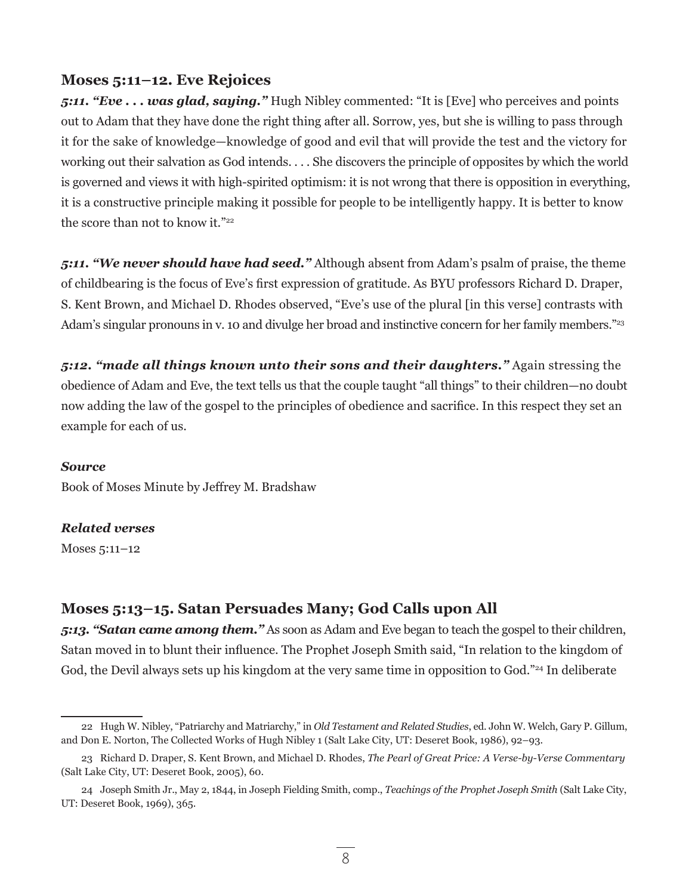## **Moses 5:11–12. Eve Rejoices**

*5:11. "Eve . . . was glad, saying."* Hugh Nibley commented: "It is [Eve] who perceives and points out to Adam that they have done the right thing after all. Sorrow, yes, but she is willing to pass through it for the sake of knowledge—knowledge of good and evil that will provide the test and the victory for working out their salvation as God intends. . . . She discovers the principle of opposites by which the world is governed and views it with high-spirited optimism: it is not wrong that there is opposition in everything, it is a constructive principle making it possible for people to be intelligently happy. It is better to know the score than not to know it."<sup>22</sup>

*5:11. "We never should have had seed."* Although absent from Adam's psalm of praise, the theme of childbearing is the focus of Eve's first expression of gratitude. As BYU professors Richard D. Draper, S. Kent Brown, and Michael D. Rhodes observed, "Eve's use of the plural [in this verse] contrasts with Adam's singular pronouns in v. 10 and divulge her broad and instinctive concern for her family members."<sup>23</sup>

*5:12. "made all things known unto their sons and their daughters."* Again stressing the obedience of Adam and Eve, the text tells us that the couple taught "all things" to their children—no doubt now adding the law of the gospel to the principles of obedience and sacrifice. In this respect they set an example for each of us.

#### *Source*

Book of Moses Minute by Jeffrey M. Bradshaw

### *Related verses*

Moses 5:11–12

# **Moses 5:13–15. Satan Persuades Many; God Calls upon All**

*5:13. "Satan came among them."* As soon as Adam and Eve began to teach the gospel to their children, Satan moved in to blunt their influence. The Prophet Joseph Smith said, "In relation to the kingdom of God, the Devil always sets up his kingdom at the very same time in opposition to God."<sup>24</sup> In deliberate

<sup>22</sup> Hugh W. Nibley, "Patriarchy and Matriarchy," in *Old Testament and Related Studies*, ed. John W. Welch, Gary P. Gillum, and Don E. Norton, The Collected Works of Hugh Nibley 1 (Salt Lake City, UT: Deseret Book, 1986), 92–93.

<sup>23</sup> Richard D. Draper, S. Kent Brown, and Michael D. Rhodes, *The Pearl of Great Price: A Verse-by-Verse Commentary* (Salt Lake City, UT: Deseret Book, 2005), 60.

<sup>24</sup> Joseph Smith Jr., May 2, 1844, in Joseph Fielding Smith, comp., *Teachings of the Prophet Joseph Smith* (Salt Lake City, UT: Deseret Book, 1969), 365.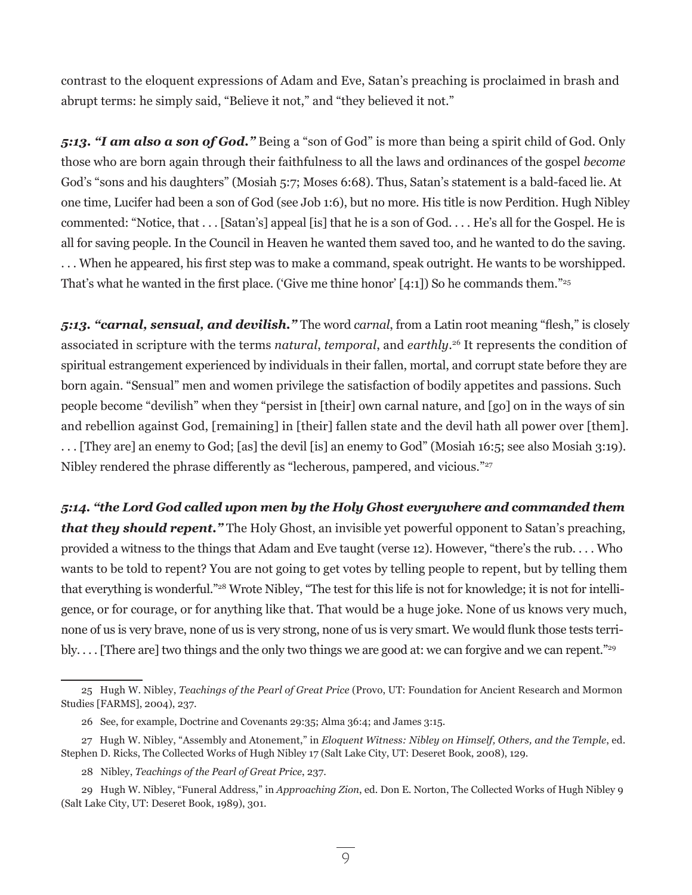contrast to the eloquent expressions of Adam and Eve, Satan's preaching is proclaimed in brash and abrupt terms: he simply said, "Believe it not," and "they believed it not."

*5:13. "I am also a son of God."* Being a "son of God" is more than being a spirit child of God. Only those who are born again through their faithfulness to all the laws and ordinances of the gospel *become* God's "sons and his daughters" (Mosiah 5:7; Moses 6:68). Thus, Satan's statement is a bald-faced lie. At one time, Lucifer had been a son of God (see Job 1:6), but no more. His title is now Perdition. Hugh Nibley commented: "Notice, that . . . [Satan's] appeal [is] that he is a son of God. . . . He's all for the Gospel. He is all for saving people. In the Council in Heaven he wanted them saved too, and he wanted to do the saving. . . . When he appeared, his first step was to make a command, speak outright. He wants to be worshipped. That's what he wanted in the first place. ('Give me thine honor'  $[4:1]$ ) So he commands them."<sup>25</sup>

*5:13. "carnal, sensual, and devilish."* The word *carnal*, from a Latin root meaning "flesh," is closely associated in scripture with the terms *natural*, *temporal*, and *earthly*. 26 It represents the condition of spiritual estrangement experienced by individuals in their fallen, mortal, and corrupt state before they are born again. "Sensual" men and women privilege the satisfaction of bodily appetites and passions. Such people become "devilish" when they "persist in [their] own carnal nature, and [go] on in the ways of sin and rebellion against God, [remaining] in [their] fallen state and the devil hath all power over [them]. . . . [They are] an enemy to God; [as] the devil [is] an enemy to God" (Mosiah 16:5; see also Mosiah 3:19). Nibley rendered the phrase differently as "lecherous, pampered, and vicious."<sup>27</sup>

*5:14. "the Lord God called upon men by the Holy Ghost everywhere and commanded them that they should repent."* The Holy Ghost, an invisible yet powerful opponent to Satan's preaching, provided a witness to the things that Adam and Eve taught (verse 12). However, "there's the rub. . . . Who wants to be told to repent? You are not going to get votes by telling people to repent, but by telling them that everything is wonderful."28 Wrote Nibley, "The test for this life is not for knowledge; it is not for intelligence, or for courage, or for anything like that. That would be a huge joke. None of us knows very much, none of us is very brave, none of us is very strong, none of us is very smart. We would flunk those tests terribly.... [There are] two things and the only two things we are good at: we can forgive and we can repent."<sup>29</sup>

<sup>25</sup> Hugh W. Nibley, *Teachings of the Pearl of Great Price* (Provo, UT: Foundation for Ancient Research and Mormon Studies [FARMS], 2004), 237.

<sup>26</sup> See, for example, Doctrine and Covenants 29:35; Alma 36:4; and James 3:15.

<sup>27</sup> Hugh W. Nibley, "Assembly and Atonement," in *Eloquent Witness: Nibley on Himself, Others, and the Temple*, ed. Stephen D. Ricks, The Collected Works of Hugh Nibley 17 (Salt Lake City, UT: Deseret Book, 2008), 129.

<sup>28</sup> Nibley, *Teachings of the Pearl of Great Price*, 237.

<sup>29</sup> Hugh W. Nibley, "Funeral Address," in *Approaching Zion*, ed. Don E. Norton, The Collected Works of Hugh Nibley 9 (Salt Lake City, UT: Deseret Book, 1989), 301.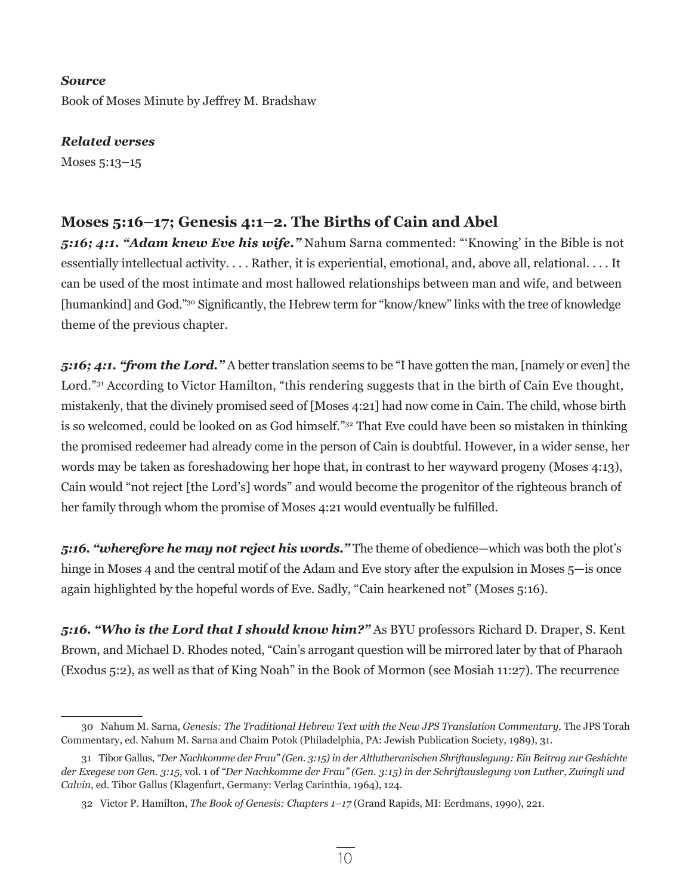#### *Source*

Book of Moses Minute by Jeffrey M. Bradshaw

*Related verses*

Moses 5:13–15

# **Moses 5:16–17; Genesis 4:1–2. The Births of Cain and Abel**

*5:16; 4:1. "Adam knew Eve his wife."* Nahum Sarna commented: "'Knowing' in the Bible is not essentially intellectual activity. . . . Rather, it is experiential, emotional, and, above all, relational. . . . It can be used of the most intimate and most hallowed relationships between man and wife, and between [humankind] and God."30 Significantly, the Hebrew term for "know/knew" links with the tree of knowledge theme of the previous chapter.

*5:16; 4:1. "from the Lord."* A better translation seems to be "I have gotten the man, [namely or even] the Lord."<sup>31</sup> According to Victor Hamilton, "this rendering suggests that in the birth of Cain Eve thought, mistakenly, that the divinely promised seed of [Moses 4:21] had now come in Cain. The child, whose birth is so welcomed, could be looked on as God himself."32 That Eve could have been so mistaken in thinking the promised redeemer had already come in the person of Cain is doubtful. However, in a wider sense, her words may be taken as foreshadowing her hope that, in contrast to her wayward progeny (Moses 4:13), Cain would "not reject [the Lord's] words" and would become the progenitor of the righteous branch of her family through whom the promise of Moses 4:21 would eventually be fulfilled.

*5:16. "wherefore he may not reject his words."* The theme of obedience—which was both the plot's hinge in Moses 4 and the central motif of the Adam and Eve story after the expulsion in Moses 5-is once again highlighted by the hopeful words of Eve. Sadly, "Cain hearkened not" (Moses 5:16).

*5:16. "Who is the Lord that I should know him?"* As BYU professors Richard D. Draper, S. Kent Brown, and Michael D. Rhodes noted, "Cain's arrogant question will be mirrored later by that of Pharaoh (Exodus 5:2), as well as that of King Noah" in the Book of Mormon (see Mosiah 11:27). The recurrence

<sup>30</sup> Nahum M. Sarna, *Genesis: The Traditional Hebrew Text with the New JPS Translation Commentary,* The JPS Torah Commentary, ed. Nahum M. Sarna and Chaim Potok (Philadelphia, PA: Jewish Publication Society, 1989), 31.

<sup>31</sup> Tibor Gallus, *"Der Nachkomme der Frau" (Gen. 3:15) in der Altlutheranischen Shriftauslegung: Ein Beitrag zur Geshichte der Exegese von Gen. 3:15*, vol. 1 of *"Der Nachkomme der Frau" (Gen. 3:15) in der Schriftauslegung von Luther, Zwingli und Calvin*, ed. Tibor Gallus (Klagenfurt, Germany: Verlag Carinthia, 1964), 124*.*

<sup>32</sup> Victor P. Hamilton, *The Book of Genesis: Chapters 1–17* (Grand Rapids, MI: Eerdmans, 1990), 221.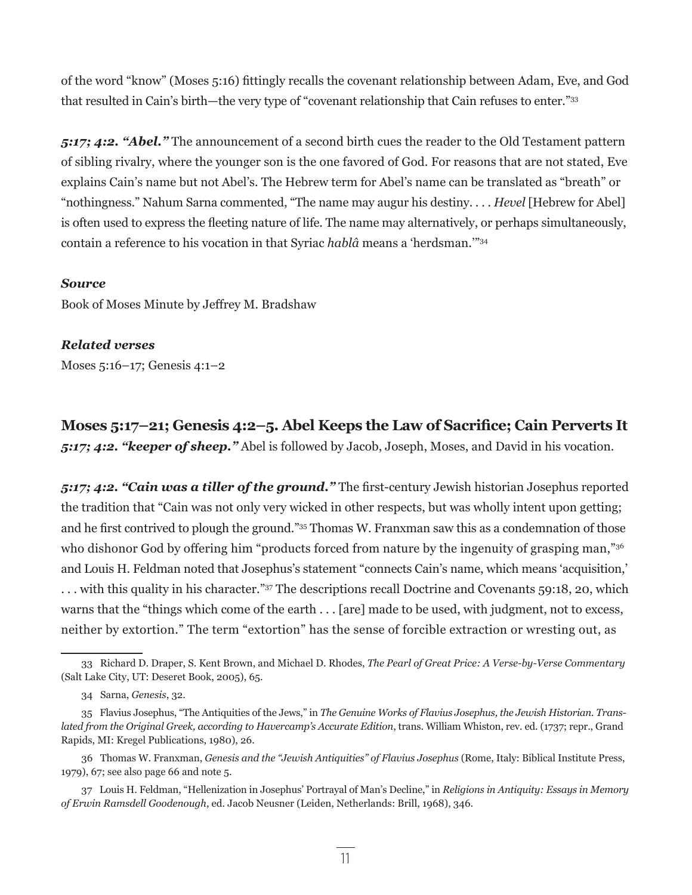of the word "know" (Moses 5:16) fittingly recalls the covenant relationship between Adam, Eve, and God that resulted in Cain's birth—the very type of "covenant relationship that Cain refuses to enter."33

*5:17; 4:2. "Abel."* The announcement of a second birth cues the reader to the Old Testament pattern of sibling rivalry, where the younger son is the one favored of God. For reasons that are not stated, Eve explains Cain's name but not Abel's. The Hebrew term for Abel's name can be translated as "breath" or "nothingness." Nahum Sarna commented, "The name may augur his destiny. . . . *Hevel* [Hebrew for Abel] is often used to express the fleeting nature of life. The name may alternatively, or perhaps simultaneously, contain a reference to his vocation in that Syriac *hablâ* means a 'herdsman.'"34

#### *Source*

Book of Moses Minute by Jeffrey M. Bradshaw

#### *Related verses*

Moses 5:16–17; Genesis 4:1–2

**Moses 5:17–21; Genesis 4:2–5. Abel Keeps the Law of Sacrifice; Cain Perverts It**  *5:17; 4:2. "keeper of sheep."* Abel is followed by Jacob, Joseph, Moses, and David in his vocation.

*5:17; 4:2. "Cain was a tiller of the ground."* The first-century Jewish historian Josephus reported the tradition that "Cain was not only very wicked in other respects, but was wholly intent upon getting; and he first contrived to plough the ground."35 Thomas W. Franxman saw this as a condemnation of those who dishonor God by offering him "products forced from nature by the ingenuity of grasping man,"<sup>36</sup> and Louis H. Feldman noted that Josephus's statement "connects Cain's name, which means 'acquisition,' . . . with this quality in his character."37 The descriptions recall Doctrine and Covenants 59:18, 20, which warns that the "things which come of the earth . . . [are] made to be used, with judgment, not to excess, neither by extortion." The term "extortion" has the sense of forcible extraction or wresting out, as

<sup>33</sup> Richard D. Draper, S. Kent Brown, and Michael D. Rhodes, *The Pearl of Great Price: A Verse-by-Verse Commentary* (Salt Lake City, UT: Deseret Book, 2005), 65.

<sup>34</sup> Sarna, *Genesis*, 32.

<sup>35</sup> Flavius Josephus, "The Antiquities of the Jews," in *The Genuine Works of Flavius Josephus, the Jewish Historian. Translated from the Original Greek, according to Havercamp's Accurate Edition*, trans. William Whiston, rev. ed. (1737; repr., Grand Rapids, MI: Kregel Publications, 1980), 26.

<sup>36</sup> Thomas W. Franxman, *Genesis and the "Jewish Antiquities" of Flavius Josephus* (Rome, Italy: Biblical Institute Press, 1979), 67; see also page 66 and note 5.

<sup>37</sup> Louis H. Feldman, "Hellenization in Josephus' Portrayal of Man's Decline," in *Religions in Antiquity: Essays in Memory of Erwin Ramsdell Goodenough*, ed. Jacob Neusner (Leiden, Netherlands: Brill, 1968), 346.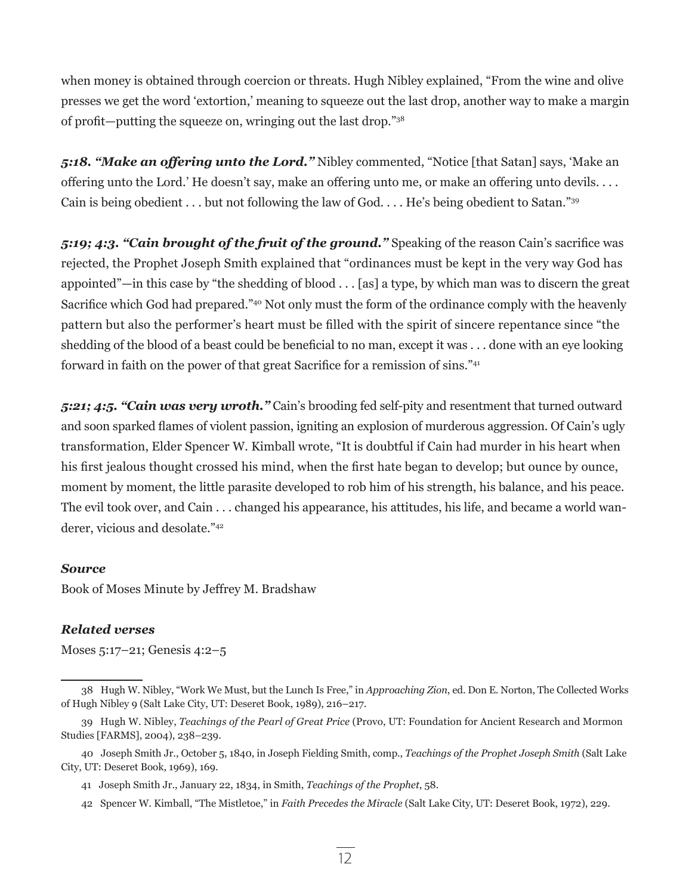when money is obtained through coercion or threats. Hugh Nibley explained, "From the wine and olive presses we get the word 'extortion,' meaning to squeeze out the last drop, another way to make a margin of profit—putting the squeeze on, wringing out the last drop."<sup>38</sup>

*5:18. "Make an offering unto the Lord."* Nibley commented, "Notice [that Satan] says, 'Make an offering unto the Lord.' He doesn't say, make an offering unto me, or make an offering unto devils. . . . Cain is being obedient . . . but not following the law of God. . . . He's being obedient to Satan."<sup>39</sup>

*5:19; 4:3. "Cain brought of the fruit of the ground."* Speaking of the reason Cain's sacrifice was rejected, the Prophet Joseph Smith explained that "ordinances must be kept in the very way God has appointed"—in this case by "the shedding of blood . . . [as] a type, by which man was to discern the great Sacrifice which God had prepared."40 Not only must the form of the ordinance comply with the heavenly pattern but also the performer's heart must be filled with the spirit of sincere repentance since "the shedding of the blood of a beast could be beneficial to no man, except it was . . . done with an eye looking forward in faith on the power of that great Sacrifice for a remission of sins."<sup>41</sup>

*5:21; 4:5. "Cain was very wroth."* Cain's brooding fed self-pity and resentment that turned outward and soon sparked flames of violent passion, igniting an explosion of murderous aggression. Of Cain's ugly transformation, Elder Spencer W. Kimball wrote, "It is doubtful if Cain had murder in his heart when his first jealous thought crossed his mind, when the first hate began to develop; but ounce by ounce, moment by moment, the little parasite developed to rob him of his strength, his balance, and his peace. The evil took over, and Cain . . . changed his appearance, his attitudes, his life, and became a world wanderer, vicious and desolate."42

#### *Source*

Book of Moses Minute by Jeffrey M. Bradshaw

### *Related verses*

Moses 5:17–21; Genesis 4:2–5

<sup>38</sup> Hugh W. Nibley, "Work We Must, but the Lunch Is Free," in *Approaching Zion*, ed. Don E. Norton, The Collected Works of Hugh Nibley 9 (Salt Lake City, UT: Deseret Book, 1989), 216–217.

<sup>39</sup> Hugh W. Nibley, *Teachings of the Pearl of Great Price* (Provo, UT: Foundation for Ancient Research and Mormon Studies [FARMS], 2004), 238–239.

<sup>40</sup> Joseph Smith Jr., October 5, 1840, in Joseph Fielding Smith, comp., *Teachings of the Prophet Joseph Smith* (Salt Lake City, UT: Deseret Book, 1969), 169.

<sup>41</sup> Joseph Smith Jr., January 22, 1834, in Smith, *Teachings of the Prophet*, 58.

<sup>42</sup> Spencer W. Kimball, "The Mistletoe," in *Faith Precedes the Miracle* (Salt Lake City, UT: Deseret Book, 1972), 229.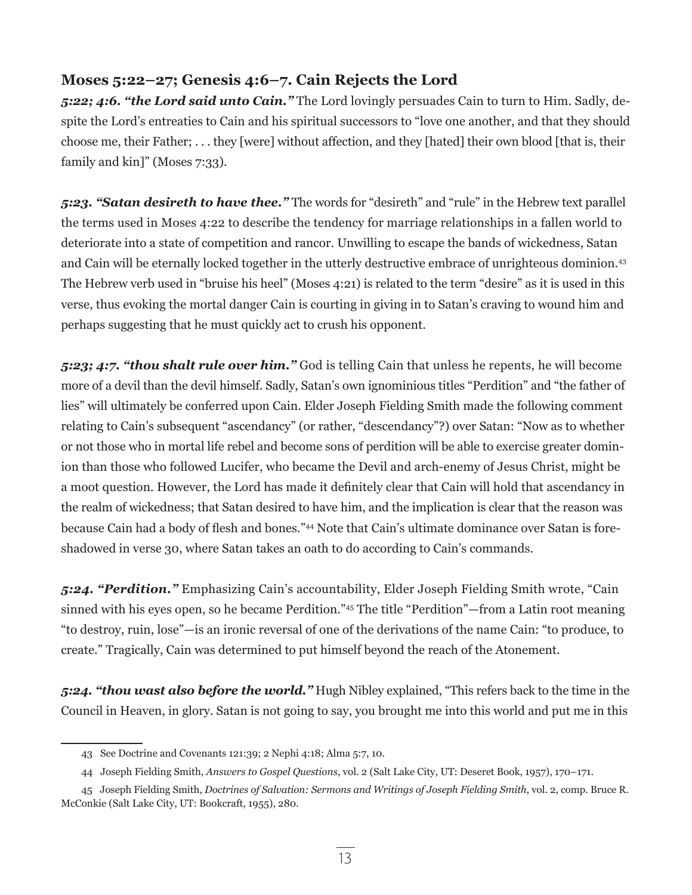# **Moses 5:22–27; Genesis 4:6–7. Cain Rejects the Lord**

*5:22; 4:6. "the Lord said unto Cain."* The Lord lovingly persuades Cain to turn to Him. Sadly, despite the Lord's entreaties to Cain and his spiritual successors to "love one another, and that they should choose me, their Father; . . . they [were] without affection, and they [hated] their own blood [that is, their family and kin]" (Moses 7:33).

*5:23. "Satan desireth to have thee."* The words for "desireth" and "rule" in the Hebrew text parallel the terms used in Moses 4:22 to describe the tendency for marriage relationships in a fallen world to deteriorate into a state of competition and rancor. Unwilling to escape the bands of wickedness, Satan and Cain will be eternally locked together in the utterly destructive embrace of unrighteous dominion.<sup>43</sup> The Hebrew verb used in "bruise his heel" (Moses 4:21) is related to the term "desire" as it is used in this verse, thus evoking the mortal danger Cain is courting in giving in to Satan's craving to wound him and perhaps suggesting that he must quickly act to crush his opponent.

*5:23; 4:7. "thou shalt rule over him."* God is telling Cain that unless he repents, he will become more of a devil than the devil himself. Sadly, Satan's own ignominious titles "Perdition" and "the father of lies" will ultimately be conferred upon Cain. Elder Joseph Fielding Smith made the following comment relating to Cain's subsequent "ascendancy" (or rather, "descendancy"?) over Satan: "Now as to whether or not those who in mortal life rebel and become sons of perdition will be able to exercise greater dominion than those who followed Lucifer, who became the Devil and arch-enemy of Jesus Christ, might be a moot question. However, the Lord has made it definitely clear that Cain will hold that ascendancy in the realm of wickedness; that Satan desired to have him, and the implication is clear that the reason was because Cain had a body of flesh and bones."44 Note that Cain's ultimate dominance over Satan is foreshadowed in verse 30, where Satan takes an oath to do according to Cain's commands.

*5:24. "Perdition."* Emphasizing Cain's accountability, Elder Joseph Fielding Smith wrote, "Cain sinned with his eyes open, so he became Perdition."45 The title "Perdition"—from a Latin root meaning "to destroy, ruin, lose"—is an ironic reversal of one of the derivations of the name Cain: "to produce, to create." Tragically, Cain was determined to put himself beyond the reach of the Atonement.

*5:24. "thou wast also before the world."* Hugh Nibley explained, "This refers back to the time in the Council in Heaven, in glory. Satan is not going to say, you brought me into this world and put me in this

<sup>43</sup> See Doctrine and Covenants 121:39; 2 Nephi 4:18; Alma 5:7, 10.

<sup>44</sup> Joseph Fielding Smith, *Answers to Gospel Questions*, vol. 2 (Salt Lake City, UT: Deseret Book, 1957), 170–171.

<sup>45</sup> Joseph Fielding Smith, *Doctrines of Salvation: Sermons and Writings of Joseph Fielding Smith*, vol. 2, comp. Bruce R. McConkie (Salt Lake City, UT: Bookcraft, 1955), 280.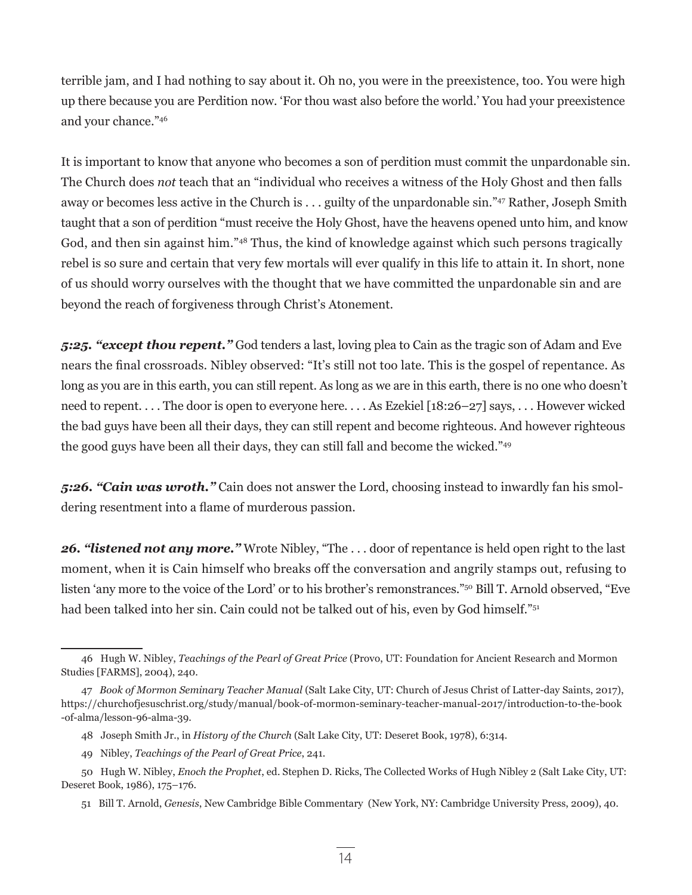terrible jam, and I had nothing to say about it. Oh no, you were in the preexistence, too. You were high up there because you are Perdition now. 'For thou wast also before the world.' You had your preexistence and your chance."46

It is important to know that anyone who becomes a son of perdition must commit the unpardonable sin. The Church does *not* teach that an "individual who receives a witness of the Holy Ghost and then falls away or becomes less active in the Church is . . . guilty of the unpardonable sin."47 Rather, Joseph Smith taught that a son of perdition "must receive the Holy Ghost, have the heavens opened unto him, and know God, and then sin against him."48 Thus, the kind of knowledge against which such persons tragically rebel is so sure and certain that very few mortals will ever qualify in this life to attain it. In short, none of us should worry ourselves with the thought that we have committed the unpardonable sin and are beyond the reach of forgiveness through Christ's Atonement.

*5:25. "except thou repent."* God tenders a last, loving plea to Cain as the tragic son of Adam and Eve nears the final crossroads. Nibley observed: "It's still not too late. This is the gospel of repentance. As long as you are in this earth, you can still repent. As long as we are in this earth, there is no one who doesn't need to repent. . . . The door is open to everyone here. . . . As Ezekiel [18:26–27] says, . . . However wicked the bad guys have been all their days, they can still repent and become righteous. And however righteous the good guys have been all their days, they can still fall and become the wicked."<sup>49</sup>

*5:26. "Cain was wroth."* Cain does not answer the Lord, choosing instead to inwardly fan his smoldering resentment into a flame of murderous passion.

*26. "listened not any more."* Wrote Nibley, "The . . . door of repentance is held open right to the last moment, when it is Cain himself who breaks off the conversation and angrily stamps out, refusing to listen 'any more to the voice of the Lord' or to his brother's remonstrances."50 Bill T. Arnold observed, "Eve had been talked into her sin. Cain could not be talked out of his, even by God himself."51

<sup>46</sup> Hugh W. Nibley, *Teachings of the Pearl of Great Price* (Provo, UT: Foundation for Ancient Research and Mormon Studies [FARMS], 2004), 240.

<sup>47</sup> *Book of Mormon Seminary Teacher Manual* (Salt Lake City, UT: Church of Jesus Christ of Latter-day Saints, 2017), https://churchofjesuschrist.org/study/manual/book-of-mormon-seminary-teacher-manual-2017/introduction-to-the-book -of-alma/lesson-96-alma-39.

<sup>48</sup> Joseph Smith Jr., in *History of the Church* (Salt Lake City, UT: Deseret Book, 1978), 6:314.

<sup>49</sup> Nibley, *Teachings of the Pearl of Great Price*, 241.

<sup>50</sup> Hugh W. Nibley, *Enoch the Prophet*, ed. Stephen D. Ricks, The Collected Works of Hugh Nibley 2 (Salt Lake City, UT: Deseret Book, 1986), 175–176.

<sup>51</sup> Bill T. Arnold, *Genesis*, New Cambridge Bible Commentary (New York, NY: Cambridge University Press, 2009), 40.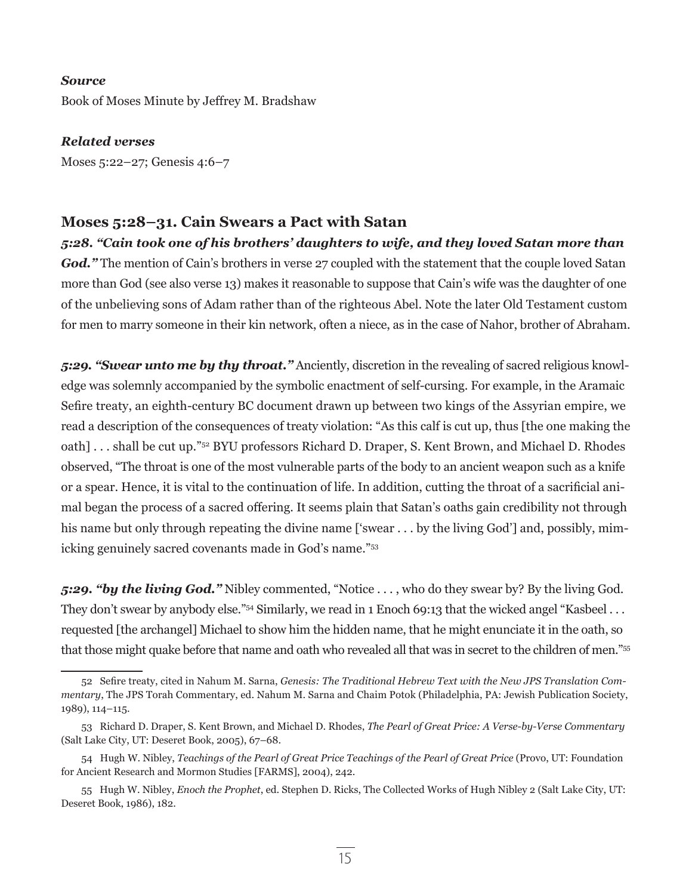#### *Source*

Book of Moses Minute by Jeffrey M. Bradshaw

*Related verses* Moses 5:22–27; Genesis 4:6–7

# **Moses 5:28–31. Cain Swears a Pact with Satan**

*5:28. "Cain took one of his brothers' daughters to wife, and they loved Satan more than*  God." The mention of Cain's brothers in verse 27 coupled with the statement that the couple loved Satan more than God (see also verse 13) makes it reasonable to suppose that Cain's wife was the daughter of one of the unbelieving sons of Adam rather than of the righteous Abel. Note the later Old Testament custom for men to marry someone in their kin network, often a niece, as in the case of Nahor, brother of Abraham.

*5:29. "Swear unto me by thy throat."* Anciently, discretion in the revealing of sacred religious knowledge was solemnly accompanied by the symbolic enactment of self-cursing. For example, in the Aramaic Sefire treaty, an eighth-century BC document drawn up between two kings of the Assyrian empire, we read a description of the consequences of treaty violation: "As this calf is cut up, thus [the one making the oath] . . . shall be cut up."<sup>52</sup> BYU professors Richard D. Draper, S. Kent Brown, and Michael D. Rhodes observed, "The throat is one of the most vulnerable parts of the body to an ancient weapon such as a knife or a spear. Hence, it is vital to the continuation of life. In addition, cutting the throat of a sacrificial animal began the process of a sacred offering. It seems plain that Satan's oaths gain credibility not through his name but only through repeating the divine name ['swear . . . by the living God'] and, possibly, mimicking genuinely sacred covenants made in God's name."53

*5:29. "by the living God."* Nibley commented, "Notice . . . , who do they swear by? By the living God. They don't swear by anybody else."<sup>54</sup> Similarly, we read in 1 Enoch 69:13 that the wicked angel "Kasbeel ... requested [the archangel] Michael to show him the hidden name, that he might enunciate it in the oath, so that those might quake before that name and oath who revealed all that was in secret to the children of men."55

<sup>52</sup> Sefire treaty, cited in Nahum M. Sarna, *Genesis: The Traditional Hebrew Text with the New JPS Translation Commentary*, The JPS Torah Commentary, ed. Nahum M. Sarna and Chaim Potok (Philadelphia, PA: Jewish Publication Society, 1989), 114–115.

<sup>53</sup> Richard D. Draper, S. Kent Brown, and Michael D. Rhodes, *The Pearl of Great Price: A Verse-by-Verse Commentary* (Salt Lake City, UT: Deseret Book, 2005), 67–68.

<sup>54</sup> Hugh W. Nibley, *Teachings of the Pearl of Great Price Teachings of the Pearl of Great Price* (Provo, UT: Foundation for Ancient Research and Mormon Studies [FARMS], 2004), 242.

<sup>55</sup> Hugh W. Nibley, *Enoch the Prophet*, ed. Stephen D. Ricks, The Collected Works of Hugh Nibley 2 (Salt Lake City, UT: Deseret Book, 1986), 182.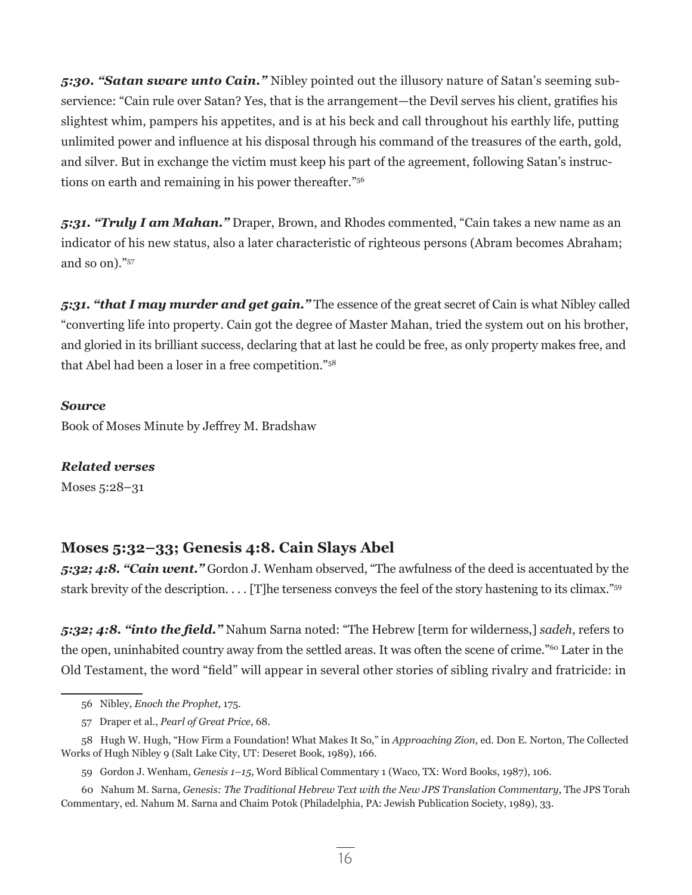*5:30. "Satan sware unto Cain."* Nibley pointed out the illusory nature of Satan's seeming subservience: "Cain rule over Satan? Yes, that is the arrangement—the Devil serves his client, gratifies his slightest whim, pampers his appetites, and is at his beck and call throughout his earthly life, putting unlimited power and influence at his disposal through his command of the treasures of the earth, gold, and silver. But in exchange the victim must keep his part of the agreement, following Satan's instructions on earth and remaining in his power thereafter."56

*5:31. "Truly I am Mahan."* Draper, Brown, and Rhodes commented, "Cain takes a new name as an indicator of his new status, also a later characteristic of righteous persons (Abram becomes Abraham; and so on)."57

*5:31. "that I may murder and get gain."* The essence of the great secret of Cain is what Nibley called "converting life into property. Cain got the degree of Master Mahan, tried the system out on his brother, and gloried in its brilliant success, declaring that at last he could be free, as only property makes free, and that Abel had been a loser in a free competition."58

## *Source*

Book of Moses Minute by Jeffrey M. Bradshaw

# *Related verses*

Moses 5:28–31

# **Moses 5:32–33; Genesis 4:8. Cain Slays Abel**

*5:32; 4:8. "Cain went."* Gordon J. Wenham observed, "The awfulness of the deed is accentuated by the stark brevity of the description. . . . [T]he terseness conveys the feel of the story hastening to its climax."59

*5:32; 4:8. "into the field."* Nahum Sarna noted: "The Hebrew [term for wilderness,] *sadeh*, refers to the open, uninhabited country away from the settled areas. It was often the scene of crime."<sup>60</sup> Later in the Old Testament, the word "field" will appear in several other stories of sibling rivalry and fratricide: in

<sup>56</sup> Nibley, *Enoch the Prophet*, 175.

<sup>57</sup> Draper et al., *Pearl of Great Price*, 68.

<sup>58</sup> Hugh W. Hugh, "How Firm a Foundation! What Makes It So," in *Approaching Zion*, ed. Don E. Norton, The Collected Works of Hugh Nibley 9 (Salt Lake City, UT: Deseret Book, 1989), 166.

<sup>59</sup> Gordon J. Wenham, *Genesis 1–15*, Word Biblical Commentary 1 (Waco, TX: Word Books, 1987), 106.

<sup>60</sup> Nahum M. Sarna, *Genesis: The Traditional Hebrew Text with the New JPS Translation Commentary*, The JPS Torah Commentary, ed. Nahum M. Sarna and Chaim Potok (Philadelphia, PA: Jewish Publication Society, 1989), 33.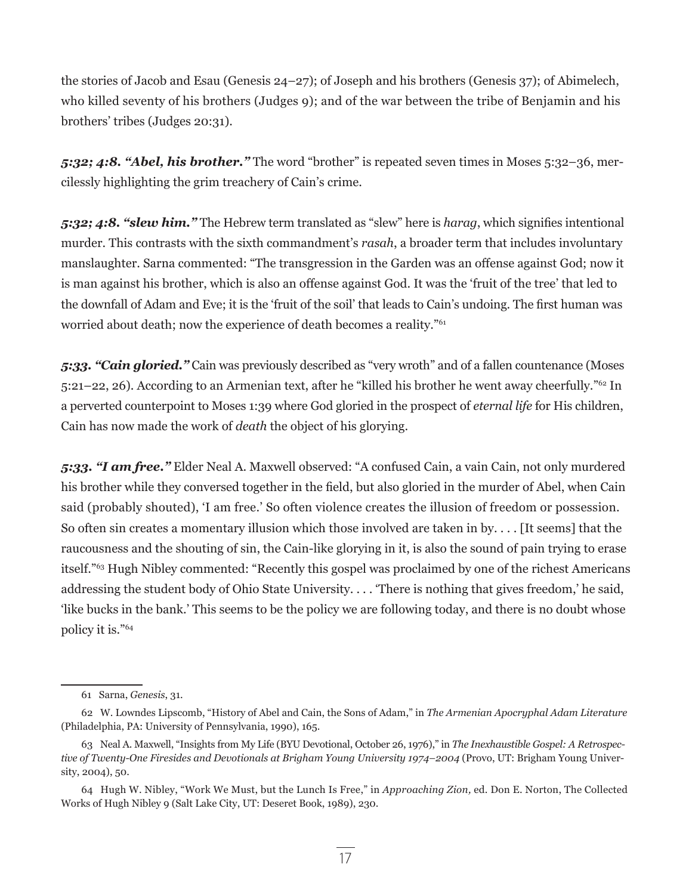the stories of Jacob and Esau (Genesis 24–27); of Joseph and his brothers (Genesis 37); of Abimelech, who killed seventy of his brothers (Judges 9); and of the war between the tribe of Benjamin and his brothers' tribes (Judges 20:31).

*5:32; 4:8. "Abel, his brother."* The word "brother" is repeated seven times in Moses 5:32–36, mercilessly highlighting the grim treachery of Cain's crime.

*5:32; 4:8. "slew him."* The Hebrew term translated as "slew" here is *harag*, which signifies intentional murder. This contrasts with the sixth commandment's *rasah*, a broader term that includes involuntary manslaughter. Sarna commented: "The transgression in the Garden was an offense against God; now it is man against his brother, which is also an offense against God. It was the 'fruit of the tree' that led to the downfall of Adam and Eve; it is the 'fruit of the soil' that leads to Cain's undoing. The first human was worried about death; now the experience of death becomes a reality."<sup>61</sup>

*5:33. "Cain gloried."* Cain was previously described as "very wroth" and of a fallen countenance (Moses 5:21–22, 26). According to an Armenian text, after he "killed his brother he went away cheerfully."62 In a perverted counterpoint to Moses 1:39 where God gloried in the prospect of *eternal life* for His children, Cain has now made the work of *death* the object of his glorying.

*5:33. "I am free."* Elder Neal A. Maxwell observed: "A confused Cain, a vain Cain, not only murdered his brother while they conversed together in the field, but also gloried in the murder of Abel, when Cain said (probably shouted), 'I am free.' So often violence creates the illusion of freedom or possession. So often sin creates a momentary illusion which those involved are taken in by. . . . [It seems] that the raucousness and the shouting of sin, the Cain-like glorying in it, is also the sound of pain trying to erase itself."63 Hugh Nibley commented: "Recently this gospel was proclaimed by one of the richest Americans addressing the student body of Ohio State University. . . . 'There is nothing that gives freedom,' he said, 'like bucks in the bank.' This seems to be the policy we are following today, and there is no doubt whose policy it is."64

<sup>61</sup> Sarna, *Genesis*, 31.

<sup>62</sup> W. Lowndes Lipscomb, "History of Abel and Cain, the Sons of Adam," in *The Armenian Apocryphal Adam Literature* (Philadelphia, PA: University of Pennsylvania, 1990), 165.

<sup>63</sup> Neal A. Maxwell, "Insights from My Life (BYU Devotional, October 26, 1976)," in *The Inexhaustible Gospel: A Retrospective of Twenty-One Firesides and Devotionals at Brigham Young University 1974–2004* (Provo, UT: Brigham Young University, 2004), 50.

<sup>64</sup> Hugh W. Nibley, "Work We Must, but the Lunch Is Free," in *Approaching Zion,* ed. Don E. Norton, The Collected Works of Hugh Nibley 9 (Salt Lake City, UT: Deseret Book, 1989), 230.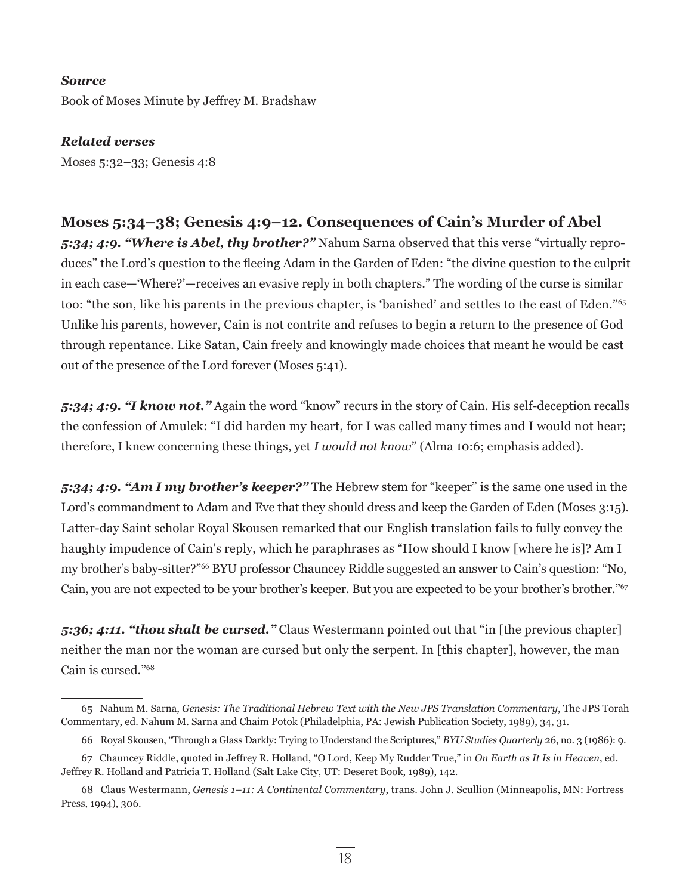#### *Source*

Book of Moses Minute by Jeffrey M. Bradshaw

*Related verses* Moses 5:32–33; Genesis 4:8

**Moses 5:34–38; Genesis 4:9–12. Consequences of Cain's Murder of Abel** *5:34; 4:9. "Where is Abel, thy brother?"* Nahum Sarna observed that this verse "virtually reproduces" the Lord's question to the fleeing Adam in the Garden of Eden: "the divine question to the culprit in each case—'Where?'—receives an evasive reply in both chapters." The wording of the curse is similar too: "the son, like his parents in the previous chapter, is 'banished' and settles to the east of Eden."<sup>65</sup> Unlike his parents, however, Cain is not contrite and refuses to begin a return to the presence of God through repentance. Like Satan, Cain freely and knowingly made choices that meant he would be cast out of the presence of the Lord forever (Moses 5:41).

*5:34; 4:9. "I know not."* Again the word "know" recurs in the story of Cain. His self-deception recalls the confession of Amulek: "I did harden my heart, for I was called many times and I would not hear; therefore, I knew concerning these things, yet *I would not know*" (Alma 10:6; emphasis added).

*5:34; 4:9. "Am I my brother's keeper?"* The Hebrew stem for "keeper" is the same one used in the Lord's commandment to Adam and Eve that they should dress and keep the Garden of Eden (Moses 3:15). Latter-day Saint scholar Royal Skousen remarked that our English translation fails to fully convey the haughty impudence of Cain's reply, which he paraphrases as "How should I know [where he is]? Am I my brother's baby-sitter?"66 BYU professor Chauncey Riddle suggested an answer to Cain's question: "No, Cain, you are not expected to be your brother's keeper. But you are expected to be your brother's brother."<sup>67</sup>

*5:36; 4:11. "thou shalt be cursed."* Claus Westermann pointed out that "in [the previous chapter] neither the man nor the woman are cursed but only the serpent. In [this chapter], however, the man Cain is cursed."68

<sup>65</sup> Nahum M. Sarna, *Genesis: The Traditional Hebrew Text with the New JPS Translation Commentary*, The JPS Torah Commentary, ed. Nahum M. Sarna and Chaim Potok (Philadelphia, PA: Jewish Publication Society, 1989), 34, 31.

<sup>66</sup> Royal Skousen, "Through a Glass Darkly: Trying to Understand the Scriptures," *BYU Studies Quarterly* 26, no. 3 (1986): 9.

<sup>67</sup> Chauncey Riddle, quoted in Jeffrey R. Holland, "O Lord, Keep My Rudder True," in *On Earth as It Is in Heaven*, ed. Jeffrey R. Holland and Patricia T. Holland (Salt Lake City, UT: Deseret Book, 1989), 142.

<sup>68</sup> Claus Westermann, *Genesis 1–11: A Continental Commentary*, trans. John J. Scullion (Minneapolis, MN: Fortress Press, 1994), 306.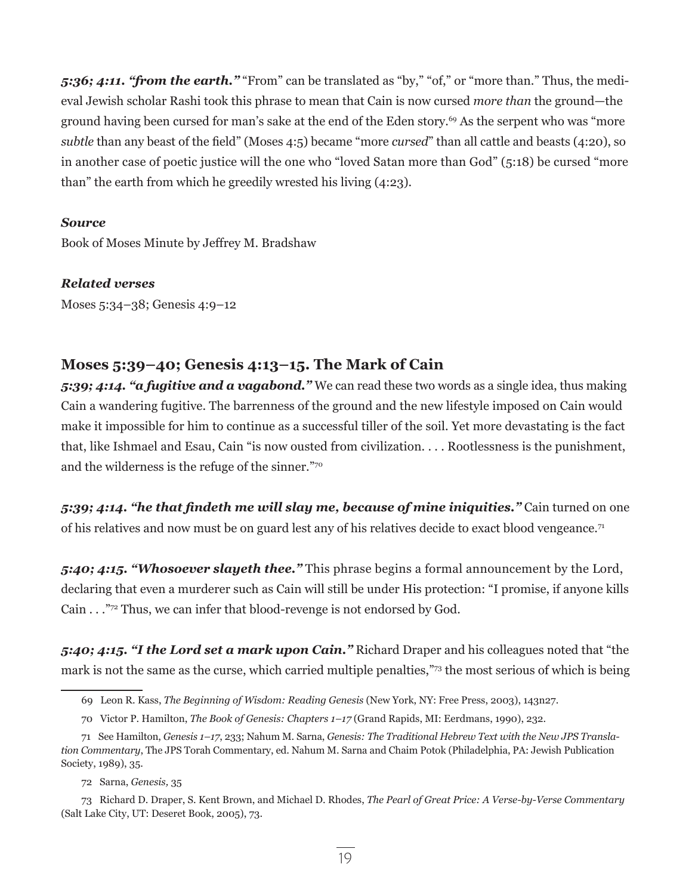*5:36; 4:11. "from the earth."* "From" can be translated as "by," "of," or "more than." Thus, the medieval Jewish scholar Rashi took this phrase to mean that Cain is now cursed *more than* the ground—the ground having been cursed for man's sake at the end of the Eden story.<sup>69</sup> As the serpent who was "more *subtle* than any beast of the field" (Moses 4:5) became "more *cursed*" than all cattle and beasts (4:20), so in another case of poetic justice will the one who "loved Satan more than God" (5:18) be cursed "more than" the earth from which he greedily wrested his living (4:23).

#### *Source*

Book of Moses Minute by Jeffrey M. Bradshaw

*Related verses*

Moses 5:34–38; Genesis 4:9–12

# **Moses 5:39–40; Genesis 4:13–15. The Mark of Cain**

*5:39; 4:14. "a fugitive and a vagabond."* We can read these two words as a single idea, thus making Cain a wandering fugitive. The barrenness of the ground and the new lifestyle imposed on Cain would make it impossible for him to continue as a successful tiller of the soil. Yet more devastating is the fact that, like Ishmael and Esau, Cain "is now ousted from civilization. . . . Rootlessness is the punishment, and the wilderness is the refuge of the sinner."<sup>70</sup>

*5:39; 4:14. "he that findeth me will slay me, because of mine iniquities."* Cain turned on one of his relatives and now must be on guard lest any of his relatives decide to exact blood vengeance.<sup>71</sup>

*5:40; 4:15. "Whosoever slayeth thee."* This phrase begins a formal announcement by the Lord, declaring that even a murderer such as Cain will still be under His protection: "I promise, if anyone kills Cain . . ."72 Thus, we can infer that blood-revenge is not endorsed by God.

*5:40; 4:15. "I the Lord set a mark upon Cain."* Richard Draper and his colleagues noted that "the mark is not the same as the curse, which carried multiple penalties,"73 the most serious of which is being

72 Sarna, *Genesis,* 35

<sup>69</sup> Leon R. Kass, *The Beginning of Wisdom: Reading Genesis* (New York, NY: Free Press, 2003), 143n27.

<sup>70</sup> Victor P. Hamilton, *The Book of Genesis: Chapters 1–17* (Grand Rapids, MI: Eerdmans, 1990), 232.

<sup>71</sup> See Hamilton, *Genesis 1–17*, 233; Nahum M. Sarna, *Genesis: The Traditional Hebrew Text with the New JPS Translation Commentary*, The JPS Torah Commentary, ed. Nahum M. Sarna and Chaim Potok (Philadelphia, PA: Jewish Publication Society, 1989), 35.

<sup>73</sup> Richard D. Draper, S. Kent Brown, and Michael D. Rhodes, *The Pearl of Great Price: A Verse-by-Verse Commentary*  (Salt Lake City, UT: Deseret Book, 2005), 73.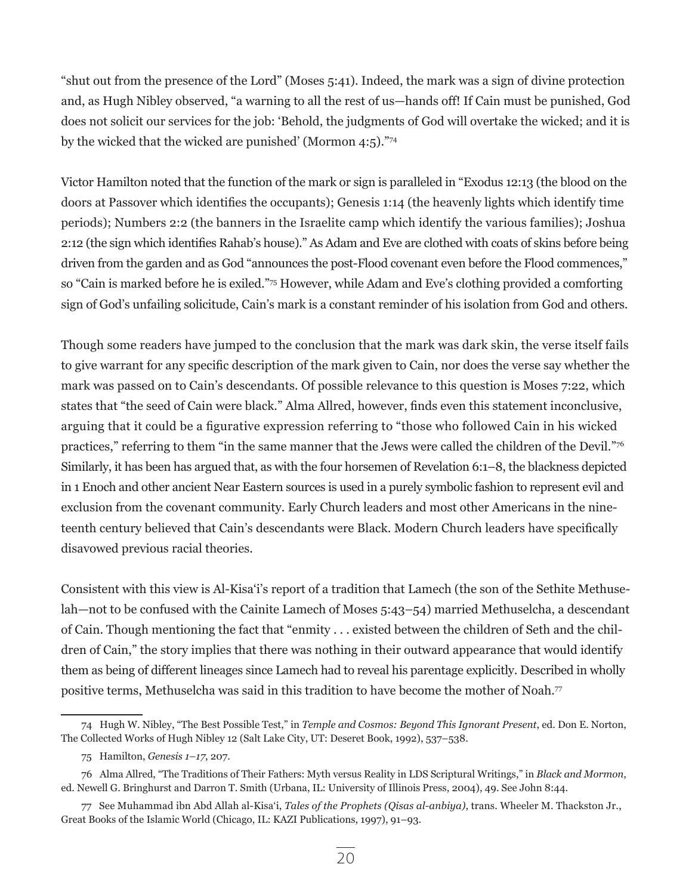"shut out from the presence of the Lord" (Moses 5:41). Indeed, the mark was a sign of divine protection and, as Hugh Nibley observed, "a warning to all the rest of us—hands off! If Cain must be punished, God does not solicit our services for the job: 'Behold, the judgments of God will overtake the wicked; and it is by the wicked that the wicked are punished' (Mormon 4:5)."<sup>74</sup>

Victor Hamilton noted that the function of the mark or sign is paralleled in "Exodus 12:13 (the blood on the doors at Passover which identifies the occupants); Genesis 1:14 (the heavenly lights which identify time periods); Numbers 2:2 (the banners in the Israelite camp which identify the various families); Joshua 2:12 (the sign which identifies Rahab's house)." As Adam and Eve are clothed with coats of skins before being driven from the garden and as God "announces the post-Flood covenant even before the Flood commences," so "Cain is marked before he is exiled."75 However, while Adam and Eve's clothing provided a comforting sign of God's unfailing solicitude, Cain's mark is a constant reminder of his isolation from God and others.

Though some readers have jumped to the conclusion that the mark was dark skin, the verse itself fails to give warrant for any specific description of the mark given to Cain, nor does the verse say whether the mark was passed on to Cain's descendants. Of possible relevance to this question is Moses 7:22, which states that "the seed of Cain were black." Alma Allred, however, finds even this statement inconclusive, arguing that it could be a figurative expression referring to "those who followed Cain in his wicked practices," referring to them "in the same manner that the Jews were called the children of the Devil."76 Similarly, it has been has argued that, as with the four horsemen of Revelation 6:1–8, the blackness depicted in 1 Enoch and other ancient Near Eastern sources is used in a purely symbolic fashion to represent evil and exclusion from the covenant community. Early Church leaders and most other Americans in the nineteenth century believed that Cain's descendants were Black. Modern Church leaders have specifically disavowed previous racial theories.

Consistent with this view is Al-Kisa'i's report of a tradition that Lamech (the son of the Sethite Methuselah—not to be confused with the Cainite Lamech of Moses 5:43–54) married Methuselcha, a descendant of Cain. Though mentioning the fact that "enmity . . . existed between the children of Seth and the children of Cain," the story implies that there was nothing in their outward appearance that would identify them as being of different lineages since Lamech had to reveal his parentage explicitly. Described in wholly positive terms, Methuselcha was said in this tradition to have become the mother of Noah.77

<sup>74</sup> Hugh W. Nibley, "The Best Possible Test," in *Temple and Cosmos: Beyond This Ignorant Present*, ed. Don E. Norton, The Collected Works of Hugh Nibley 12 (Salt Lake City, UT: Deseret Book, 1992), 537–538.

<sup>75</sup> Hamilton, *Genesis 1–17*, 207.

<sup>76</sup> Alma Allred, "The Traditions of Their Fathers: Myth versus Reality in LDS Scriptural Writings," in *Black and Mormon*, ed. Newell G. Bringhurst and Darron T. Smith (Urbana, IL: University of Illinois Press, 2004), 49. See John 8:44.

<sup>77</sup> See Muhammad ibn Abd Allah al-Kisa'i, *Tales of the Prophets (Qisas al-anbiya)*, trans. Wheeler M. Thackston Jr., Great Books of the Islamic World (Chicago, IL: KAZI Publications, 1997), 91–93.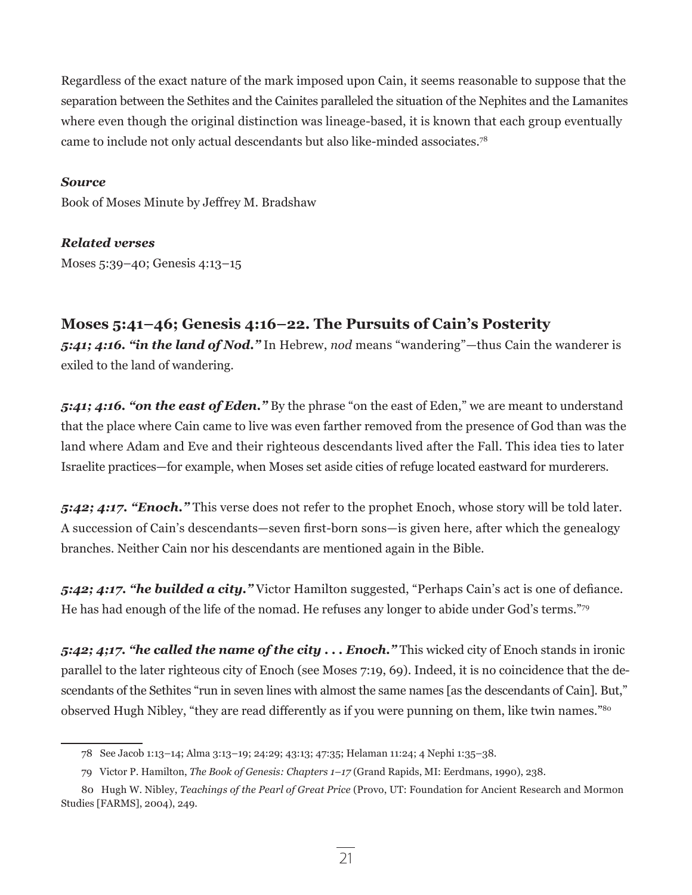Regardless of the exact nature of the mark imposed upon Cain, it seems reasonable to suppose that the separation between the Sethites and the Cainites paralleled the situation of the Nephites and the Lamanites where even though the original distinction was lineage-based, it is known that each group eventually came to include not only actual descendants but also like-minded associates.78

#### *Source*

Book of Moses Minute by Jeffrey M. Bradshaw

# *Related verses*

Moses 5:39–40; Genesis 4:13–15

# **Moses 5:41–46; Genesis 4:16–22. The Pursuits of Cain's Posterity**

*5:41; 4:16. "in the land of Nod."* In Hebrew, *nod* means "wandering"—thus Cain the wanderer is exiled to the land of wandering.

*5:41; 4:16. "on the east of Eden."* By the phrase "on the east of Eden," we are meant to understand that the place where Cain came to live was even farther removed from the presence of God than was the land where Adam and Eve and their righteous descendants lived after the Fall. This idea ties to later Israelite practices—for example, when Moses set aside cities of refuge located eastward for murderers.

*5:42; 4:17. "Enoch."* This verse does not refer to the prophet Enoch, whose story will be told later. A succession of Cain's descendants—seven first-born sons—is given here, after which the genealogy branches. Neither Cain nor his descendants are mentioned again in the Bible.

*5:42; 4:17. "he builded a city."* Victor Hamilton suggested, "Perhaps Cain's act is one of defiance. He has had enough of the life of the nomad. He refuses any longer to abide under God's terms."<sup>79</sup>

*5:42; 4;17. "he called the name of the city . . . Enoch."* This wicked city of Enoch stands in ironic parallel to the later righteous city of Enoch (see Moses 7:19, 69). Indeed, it is no coincidence that the descendants of the Sethites "run in seven lines with almost the same names [as the descendants of Cain]. But," observed Hugh Nibley, "they are read differently as if you were punning on them, like twin names."80

<sup>78</sup> See Jacob 1:13–14; Alma 3:13–19; 24:29; 43:13; 47:35; Helaman 11:24; 4 Nephi 1:35–38.

<sup>79</sup> Victor P. Hamilton, *The Book of Genesis: Chapters 1–17* (Grand Rapids, MI: Eerdmans, 1990), 238.

<sup>80</sup> Hugh W. Nibley, *Teachings of the Pearl of Great Price* (Provo, UT: Foundation for Ancient Research and Mormon Studies [FARMS], 2004), 249.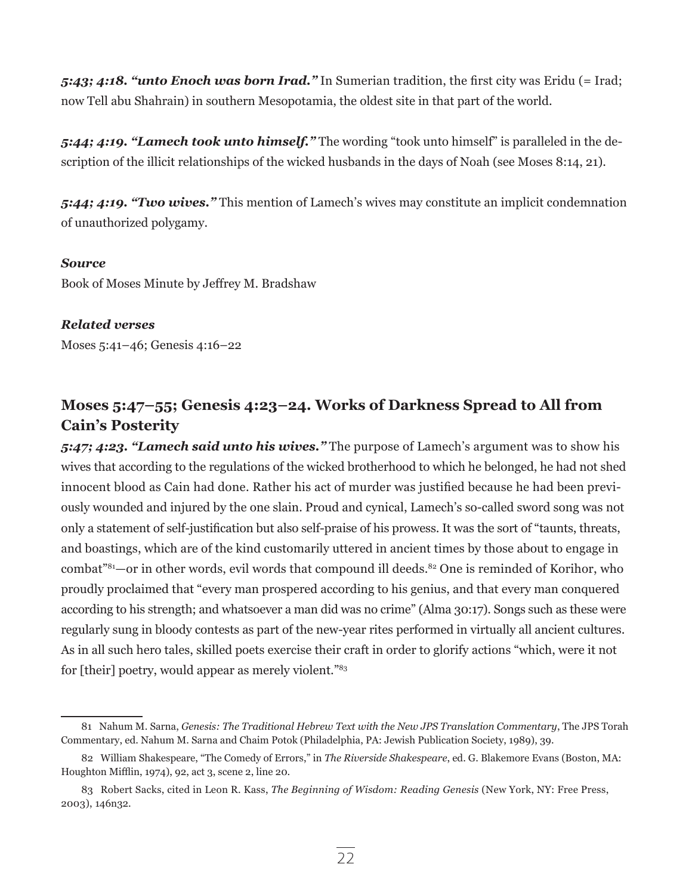*5:43; 4:18. "unto Enoch was born Irad."* In Sumerian tradition, the first city was Eridu (= Irad; now Tell abu Shahrain) in southern Mesopotamia, the oldest site in that part of the world.

*5:44; 4:19. "Lamech took unto himself."* The wording "took unto himself" is paralleled in the description of the illicit relationships of the wicked husbands in the days of Noah (see Moses 8:14, 21).

*5:44; 4:19. "Two wives."* This mention of Lamech's wives may constitute an implicit condemnation of unauthorized polygamy.

#### *Source*

Book of Moses Minute by Jeffrey M. Bradshaw

## *Related verses*

Moses 5:41–46; Genesis 4:16–22

# **Moses 5:47–55; Genesis 4:23–24. Works of Darkness Spread to All from Cain's Posterity**

*5:47; 4:23. "Lamech said unto his wives."* The purpose of Lamech's argument was to show his wives that according to the regulations of the wicked brotherhood to which he belonged, he had not shed innocent blood as Cain had done. Rather his act of murder was justified because he had been previously wounded and injured by the one slain. Proud and cynical, Lamech's so-called sword song was not only a statement of self-justification but also self-praise of his prowess. It was the sort of "taunts, threats, and boastings, which are of the kind customarily uttered in ancient times by those about to engage in combat"<sup>81</sup>—or in other words, evil words that compound ill deeds.<sup>82</sup> One is reminded of Korihor, who proudly proclaimed that "every man prospered according to his genius, and that every man conquered according to his strength; and whatsoever a man did was no crime" (Alma 30:17). Songs such as these were regularly sung in bloody contests as part of the new-year rites performed in virtually all ancient cultures. As in all such hero tales, skilled poets exercise their craft in order to glorify actions "which, were it not for [their] poetry, would appear as merely violent."<sup>83</sup>

<sup>81</sup> Nahum M. Sarna, *Genesis: The Traditional Hebrew Text with the New JPS Translation Commentary*, The JPS Torah Commentary, ed. Nahum M. Sarna and Chaim Potok (Philadelphia, PA: Jewish Publication Society, 1989), 39.

<sup>82</sup> William Shakespeare, "The Comedy of Errors," in *The Riverside Shakespeare*, ed. G. Blakemore Evans (Boston, MA: Houghton Mifflin, 1974), 92, act 3, scene 2, line 20.

<sup>83</sup> Robert Sacks, cited in Leon R. Kass, *The Beginning of Wisdom: Reading Genesis* (New York, NY: Free Press, 2003), 146n32.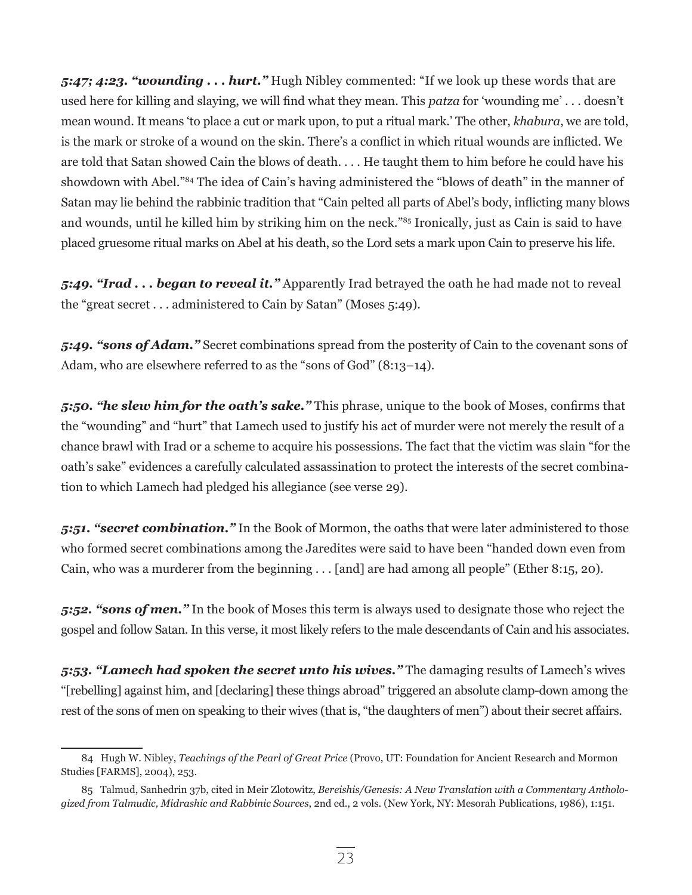*5:47; 4:23. "wounding . . . hurt."* Hugh Nibley commented: "If we look up these words that are used here for killing and slaying, we will find what they mean. This *patza* for 'wounding me' . . . doesn't mean wound. It means 'to place a cut or mark upon, to put a ritual mark.' The other, *khabura*, we are told, is the mark or stroke of a wound on the skin. There's a conflict in which ritual wounds are inflicted. We are told that Satan showed Cain the blows of death. . . . He taught them to him before he could have his showdown with Abel."84 The idea of Cain's having administered the "blows of death" in the manner of Satan may lie behind the rabbinic tradition that "Cain pelted all parts of Abel's body, inflicting many blows and wounds, until he killed him by striking him on the neck."85 Ironically, just as Cain is said to have placed gruesome ritual marks on Abel at his death, so the Lord sets a mark upon Cain to preserve his life.

*5:49. "Irad . . . began to reveal it."* Apparently Irad betrayed the oath he had made not to reveal the "great secret . . . administered to Cain by Satan" (Moses 5:49).

*5:49. "sons of Adam."* Secret combinations spread from the posterity of Cain to the covenant sons of Adam, who are elsewhere referred to as the "sons of God" (8:13–14).

*5:50. "he slew him for the oath's sake."* This phrase, unique to the book of Moses, confirms that the "wounding" and "hurt" that Lamech used to justify his act of murder were not merely the result of a chance brawl with Irad or a scheme to acquire his possessions. The fact that the victim was slain "for the oath's sake" evidences a carefully calculated assassination to protect the interests of the secret combination to which Lamech had pledged his allegiance (see verse 29).

*5:51. "secret combination."* In the Book of Mormon, the oaths that were later administered to those who formed secret combinations among the Jaredites were said to have been "handed down even from Cain, who was a murderer from the beginning . . . [and] are had among all people" (Ether 8:15, 20).

*5:52. "sons of men."* In the book of Moses this term is always used to designate those who reject the gospel and follow Satan. In this verse, it most likely refers to the male descendants of Cain and his associates.

*5:53. "Lamech had spoken the secret unto his wives."* The damaging results of Lamech's wives "[rebelling] against him, and [declaring] these things abroad" triggered an absolute clamp-down among the rest of the sons of men on speaking to their wives (that is, "the daughters of men") about their secret affairs.

<sup>84</sup> Hugh W. Nibley, *Teachings of the Pearl of Great Price* (Provo, UT: Foundation for Ancient Research and Mormon Studies [FARMS], 2004), 253.

<sup>85</sup> Talmud, Sanhedrin 37b, cited in Meir Zlotowitz, *Bereishis/Genesis: A New Translation with a Commentary Anthologized from Talmudic, Midrashic and Rabbinic Sources*, 2nd ed., 2 vols. (New York, NY: Mesorah Publications, 1986), 1:151.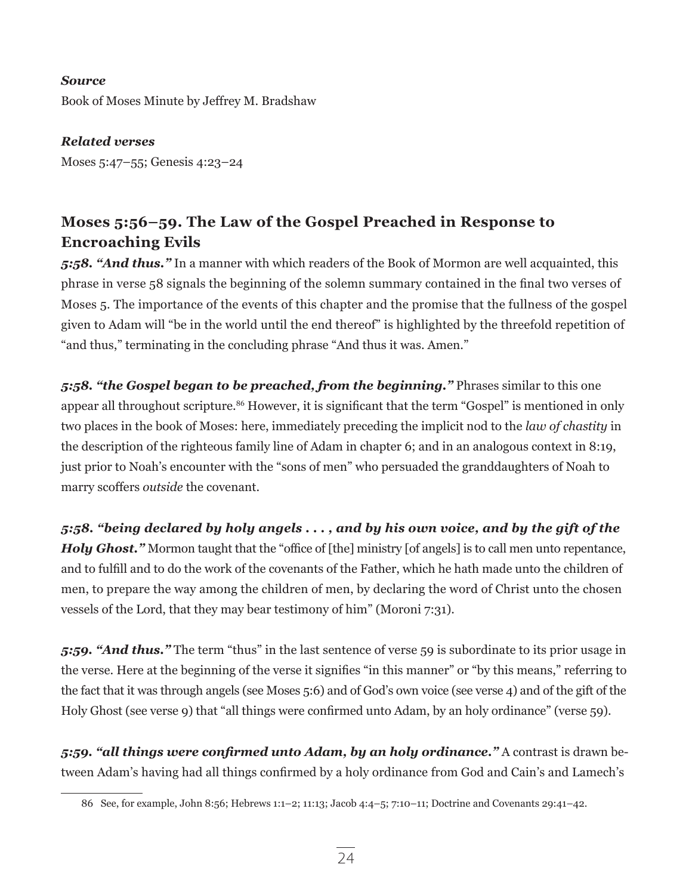## *Source*

Book of Moses Minute by Jeffrey M. Bradshaw

*Related verses* Moses 5:47–55; Genesis 4:23–24

# **Moses 5:56–59. The Law of the Gospel Preached in Response to Encroaching Evils**

*5:58. "And thus."* In a manner with which readers of the Book of Mormon are well acquainted, this phrase in verse 58 signals the beginning of the solemn summary contained in the final two verses of Moses 5. The importance of the events of this chapter and the promise that the fullness of the gospel given to Adam will "be in the world until the end thereof" is highlighted by the threefold repetition of "and thus," terminating in the concluding phrase "And thus it was. Amen."

*5:58. "the Gospel began to be preached, from the beginning."* Phrases similar to this one appear all throughout scripture.<sup>86</sup> However, it is significant that the term "Gospel" is mentioned in only two places in the book of Moses: here, immediately preceding the implicit nod to the *law of chastity* in the description of the righteous family line of Adam in chapter 6; and in an analogous context in 8:19, just prior to Noah's encounter with the "sons of men" who persuaded the granddaughters of Noah to marry scoffers *outside* the covenant.

*5:58. "being declared by holy angels . . . , and by his own voice, and by the gift of the Holy Ghost."* Mormon taught that the "office of [the] ministry [of angels] is to call men unto repentance, and to fulfill and to do the work of the covenants of the Father, which he hath made unto the children of men, to prepare the way among the children of men, by declaring the word of Christ unto the chosen vessels of the Lord, that they may bear testimony of him" (Moroni 7:31).

*5:59. "And thus."* The term "thus" in the last sentence of verse 59 is subordinate to its prior usage in the verse. Here at the beginning of the verse it signifies "in this manner" or "by this means," referring to the fact that it was through angels (see Moses 5:6) and of God's own voice (see verse 4) and of the gift of the Holy Ghost (see verse 9) that "all things were confirmed unto Adam, by an holy ordinance" (verse 59).

*5:59. "all things were confirmed unto Adam, by an holy ordinance."* A contrast is drawn between Adam's having had all things confirmed by a holy ordinance from God and Cain's and Lamech's

<sup>86</sup> See, for example, John 8:56; Hebrews 1:1–2; 11:13; Jacob 4:4–5; 7:10–11; Doctrine and Covenants 29:41–42.